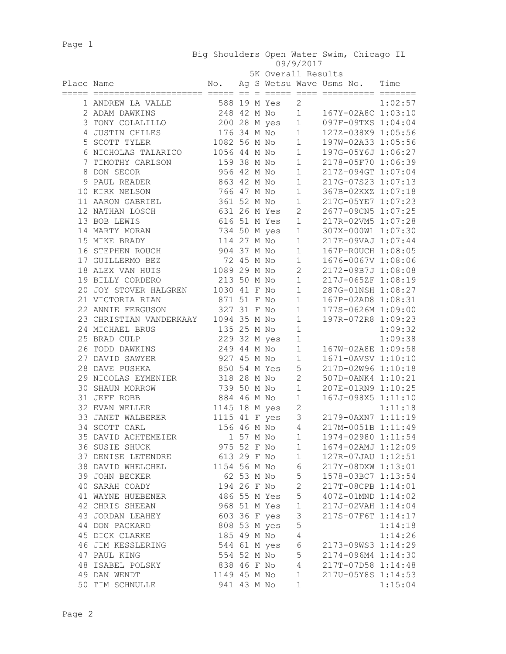Page 1

 Big Shoulders Open Water Swim, Chicago IL 09/9/2017

| 5K Overall Results |
|--------------------|
|                    |

| Place Name                           |                |  |                |                         | No. Ag S Wetsu Wave Usms No. Time                                                                                                                                                                                                          |         |
|--------------------------------------|----------------|--|----------------|-------------------------|--------------------------------------------------------------------------------------------------------------------------------------------------------------------------------------------------------------------------------------------|---------|
| 1 ANDREW LA VALLE                    |                |  | 588 19 M Yes   | $\overline{2}$          |                                                                                                                                                                                                                                            | 1:02:57 |
| 2 ADAM DAWKINS                       |                |  | 248 42 M No    |                         | 2 1:02:57<br>1 167Y-02A8C 1:03:10<br>1 097F-09TXS 1:04:04                                                                                                                                                                                  |         |
| 3 TONY COLALILLO                     |                |  | 200 28 M yes   |                         |                                                                                                                                                                                                                                            |         |
| 4 JUSTIN CHILES                      |                |  |                |                         | 200 28 M yes 1 09/F-09TXS 1:04:04<br>176 34 M No 1 127Z-038X9 1:05:56<br>1082 56 M No 1 197W-02A33 1:05:56<br>1056 44 M No 1 197G-05Y6J 1:06:27<br>159 38 M No 1 2178-05F70 1:06:39<br>956 42 M No 1 217Z-094GT 1:07:04<br>863 42 M No 1 2 |         |
| 5 SCOTT TYLER                        |                |  |                |                         |                                                                                                                                                                                                                                            |         |
| 6 NICHOLAS TALARICO                  |                |  |                |                         |                                                                                                                                                                                                                                            |         |
| 7 TIMOTHY CARLSON                    |                |  |                |                         |                                                                                                                                                                                                                                            |         |
| 8 DON SECOR                          |                |  |                |                         |                                                                                                                                                                                                                                            |         |
| 9 PAUL READER                        |                |  |                |                         |                                                                                                                                                                                                                                            |         |
| 10 KIRK NELSON                       |                |  |                |                         |                                                                                                                                                                                                                                            |         |
| 11 AARON GABRIEL                     |                |  |                |                         |                                                                                                                                                                                                                                            |         |
| 12 NATHAN LOSCH                      |                |  |                |                         |                                                                                                                                                                                                                                            |         |
| 13 BOB LEWIS                         |                |  |                |                         |                                                                                                                                                                                                                                            |         |
| 14 MARTY MORAN                       |                |  | 734 50 M yes   | $\mathbf{1}$            | 307X-000W1 1:07:30                                                                                                                                                                                                                         |         |
| 15 MIKE BRADY                        |                |  | 114 27 M No    | 1                       | 217E-09VAJ 1:07:44                                                                                                                                                                                                                         |         |
| 16 STEPHEN ROUCH                     |                |  | 904 37 M No    | $\mathbf{1}$            | 167P-ROUCH 1:08:05                                                                                                                                                                                                                         |         |
| 17 GUILLERMO BEZ                     |                |  | 72 45 M No     | 1                       | 1676-0067V 1:08:06                                                                                                                                                                                                                         |         |
| 18 ALEX VAN HUIS                     | 1089 29 M No   |  |                | $\overline{2}$          | 2172-09B7J 1:08:08                                                                                                                                                                                                                         |         |
| 19 BILLY CORDERO                     |                |  | 213 50 M No    | 1                       | 217J-065ZF 1:08:19                                                                                                                                                                                                                         |         |
| 20 JOY STOVER HALGREN                |                |  | 1030 41 F No   | 1                       | 287G-01NSH 1:08:27                                                                                                                                                                                                                         |         |
| 21 VICTORIA RIAN                     |                |  | 871 51 F No    | $\mathbf{1}$            | 167P-02AD8 1:08:31                                                                                                                                                                                                                         |         |
| 22 ANNIE FERGUSON                    |                |  | 327 31 F No    | $\mathbf{1}$            | 177S-0626M 1:09:00                                                                                                                                                                                                                         |         |
| 23 CHRISTIAN VANDERKAAY 1094 35 M No |                |  |                | $\mathbf{1}$            | 197R-072R8 1:09:23                                                                                                                                                                                                                         |         |
| 24 MICHAEL BRUS                      | 135 25 M No    |  |                | $\mathbf{1}$            |                                                                                                                                                                                                                                            | 1:09:32 |
| 25 BRAD CULP                         | 229 32 M yes   |  |                | $\mathbf{1}$            |                                                                                                                                                                                                                                            | 1:09:38 |
| 26 TODD DAWKINS                      |                |  | 249 44 M No    | $\mathbf{1}$            | 167W-02A8E 1:09:58                                                                                                                                                                                                                         |         |
| 27 DAVID SAWYER                      |                |  | 927 45 M No    | $\mathbf{1}$            | 1671-0AVSV 1:10:10                                                                                                                                                                                                                         |         |
| 28 DAVE PUSHKA                       |                |  | 850 54 M Yes   | 5                       | 217D-02W96 1:10:18                                                                                                                                                                                                                         |         |
| 29 NICOLAS EYMENIER                  | 318 28 M No    |  |                | $2^{\sim}$              | 507D-0ANK4 1:10:21                                                                                                                                                                                                                         |         |
| 30 SHAUN MORROW                      |                |  | 739 50 M No    | $\mathbf{1}$            | 207E-01RN9 1:10:25                                                                                                                                                                                                                         |         |
| 31 JEFF ROBB                         |                |  | 884 46 M No    | $\mathbf{1}$            | 167J-098X5 1:11:10                                                                                                                                                                                                                         |         |
| 32 EVAN WELLER                       | 1145 18 M yes  |  |                | $\mathbf{2}$            |                                                                                                                                                                                                                                            | 1:11:18 |
| 33 JANET WALBERER                    |                |  | 1115 41 F yes  |                         | 3 2179-0AXN7 1:11:19                                                                                                                                                                                                                       |         |
| 34 SCOTT CARL                        |                |  |                |                         | 156 46 M No 4 217M-0051B 1:11:49                                                                                                                                                                                                           |         |
| 35 DAVID ACHTEMEIER                  |                |  | 1 57 M No 1    |                         | 1974-02980 1:11:54                                                                                                                                                                                                                         |         |
| 36 SUSIE SHUCK                       |                |  |                |                         | 975 52 F No 1 1674-02AMJ 1:12:09                                                                                                                                                                                                           |         |
| 37 DENISE LETENDRE 613 29 F No       |                |  |                | $\mathbf{1}$            | 127R-07JAU 1:12:51                                                                                                                                                                                                                         |         |
| 38 DAVID WHELCHEL                    |                |  | 1154 56 M No 6 |                         | 217Y-08DXW 1:13:01                                                                                                                                                                                                                         |         |
| 39 JOHN BECKER                       |                |  | 62 53 M No     | 5 <sub>5</sub>          | 1578-03BC7 1:13:54                                                                                                                                                                                                                         |         |
| 40 SARAH COADY                       |                |  | 194 26 F No 2  |                         | 217T-08CPB 1:14:01                                                                                                                                                                                                                         |         |
| 41 WAYNE HUEBENER                    | 486 55 M Yes 5 |  |                |                         | 407Z-01MND 1:14:02                                                                                                                                                                                                                         |         |
| 42 CHRIS SHEEAN                      |                |  | 968 51 M Yes 1 |                         | 217J-02VAH 1:14:04                                                                                                                                                                                                                         |         |
| 43 JORDAN LEAHEY                     |                |  | 603 36 F yes   | $\overline{\mathbf{3}}$ | 217S-07F6T 1:14:17                                                                                                                                                                                                                         |         |
| 44 DON PACKARD                       |                |  | 808 53 M yes   | $\mathsf S$             |                                                                                                                                                                                                                                            | 1:14:18 |
| 45 DICK CLARKE                       |                |  | 185 49 M No    | 4                       |                                                                                                                                                                                                                                            | 1:14:26 |
| 46 JIM KESSLERING                    | 544 61 M yes   |  |                | $\epsilon$              | 2173-09WS3 1:14:29                                                                                                                                                                                                                         |         |
| 47 PAUL KING                         |                |  | 554 52 M No    | $\mathsf S$             | 2174-096M4 1:14:30                                                                                                                                                                                                                         |         |
| 48 ISABEL POLSKY                     |                |  | 838 46 F No    | $\overline{4}$          | 217T-07D58 1:14:48                                                                                                                                                                                                                         |         |
| 49 DAN WENDT                         | 1149 45 M No   |  |                | $1\,$                   | 217U-05Y8S 1:14:53                                                                                                                                                                                                                         |         |
| 50 TIM SCHNULLE                      | 941 43 M No    |  |                | $\mathbf 1$             |                                                                                                                                                                                                                                            | 1:15:04 |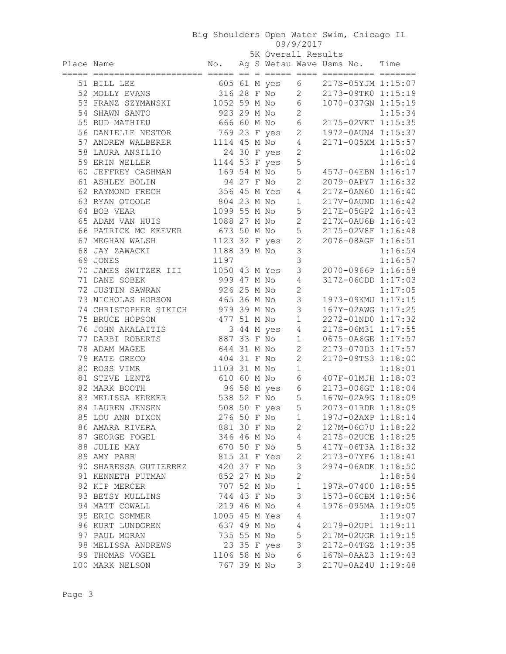| 5K Overall Results |  |
|--------------------|--|
|                    |  |

|            |                                   |               |  |  |               | 5K Overall Results |                               |         |
|------------|-----------------------------------|---------------|--|--|---------------|--------------------|-------------------------------|---------|
| Place Name |                                   | No.           |  |  |               |                    | Ag S Wetsu Wave Usms No. Time |         |
|            | 51 BILL LEE                       |               |  |  | 605 61 M yes  | 6                  | 217S-05YJM 1:15:07            |         |
|            | 52 MOLLY EVANS                    |               |  |  | 316 28 F No   | $\overline{2}$     | 2173-09TK0 1:15:19            |         |
|            | 53 FRANZ SZYMANSKI                |               |  |  | 1052 59 M No  | $6\,$              | 1070-037GN 1:15:19            |         |
|            | 54 SHAWN SANTO                    | 923 29 M No   |  |  |               | $\overline{2}$     |                               | 1:15:34 |
|            | 55 BUD MATHIEU                    | 666 60 M No   |  |  |               | $6\,$              | 2175-02VKT 1:15:35            |         |
|            | 56 DANIELLE NESTOR                |               |  |  | 769 23 F yes  | $\mathbf{2}$       | 1972-0AUN4 1:15:37            |         |
|            | 57 ANDREW WALBERER                | 1114 45 M No  |  |  |               | $\overline{4}$     | 2171-005XM 1:15:57            |         |
|            | 58 LAURA ANSILIO                  |               |  |  | 24 30 F yes   | $\mathbf{2}$       |                               | 1:16:02 |
|            | 59 ERIN WELLER                    | 1144 53 F yes |  |  |               | 5                  |                               | 1:16:14 |
|            | 60 JEFFREY CASHMAN                | 169 54 M No   |  |  |               | 5                  | 457J-04EBN 1:16:17            |         |
|            | 61 ASHLEY BOLIN                   | 94 27 F No    |  |  |               | $\overline{c}$     | 2079-0APY7 1:16:32            |         |
|            | 62 RAYMOND FRECH                  | 356 45 M Yes  |  |  |               | 4                  | 217Z-0AN60 1:16:40            |         |
|            | 63 RYAN OTOOLE                    | 804 23 M No   |  |  |               | $1\,$              | 217V-0AUND 1:16:42            |         |
|            | 64 BOB VEAR                       | 1099 55 M No  |  |  |               | 5                  | 217E-05GP2 1:16:43            |         |
|            | 65 ADAM VAN HUIS                  | 1088 27 M No  |  |  |               | $\overline{2}$     | 217X-0AU6B 1:16:43            |         |
|            | 66 PATRICK MC KEEVER              | 673 50 M No   |  |  |               | 5                  | 2175-02V8F 1:16:48            |         |
|            | 67 MEGHAN WALSH                   |               |  |  | 1123 32 F yes | $\overline{c}$     | 2076-08AGF 1:16:51            |         |
|            | 68 JAY ZAWACKI                    | 1188 39 M No  |  |  |               | 3                  |                               | 1:16:54 |
|            | 69 JONES                          | 1197          |  |  |               | 3                  |                               | 1:16:57 |
|            | 70 JAMES SWITZER III              |               |  |  | 1050 43 M Yes | 3                  | 2070-0966P 1:16:58            |         |
|            | 71 DANE SOBEK                     | 999 47 M No   |  |  |               | 4                  | 317Z-06CDD 1:17:03            |         |
|            | 72 JUSTIN SAWRAN                  | 926 25 M No   |  |  |               | $\overline{c}$     |                               | 1:17:05 |
|            | 73 NICHOLAS HOBSON                | 465 36 M No   |  |  |               | $\mathsf 3$        | 1973-09KMU 1:17:15            |         |
|            | 74 CHRISTOPHER SIKICH 979 39 M No |               |  |  |               | 3                  | 167Y-02AWG 1:17:25            |         |
|            | 75 BRUCE HOPSON                   | 477 51 M No   |  |  |               | $\mathbf{1}$       | 2272-01ND0 1:17:32            |         |
|            | 76 JOHN AKALAITIS                 |               |  |  | 3 44 M yes    | $\overline{4}$     | 217S-06M31 1:17:55            |         |
|            | 77 DARBI ROBERTS                  | 887 33 F No   |  |  |               | $\mathbf 1$        | 0675-0A6GE 1:17:57            |         |
|            | 78 ADAM MAGEE                     | 644 31 M No   |  |  |               | 2                  | 2173-070D3 1:17:57            |         |
|            | 79 KATE GRECO                     | 404 31 F No   |  |  |               | $\mathbf{2}$       | 2170-09TS3 1:18:00            |         |
|            | 80 ROSS VIMR                      | 1103 31 M No  |  |  |               | $1\,$              |                               | 1:18:01 |
|            | 81 STEVE LENTZ                    | 610 60 M No   |  |  |               | 6                  | 407F-01MJH 1:18:03            |         |
|            | 82 MARK BOOTH                     |               |  |  | 96 58 M yes   | 6                  | 2173-006GT 1:18:04            |         |
|            | 83 MELISSA KERKER                 | 538 52 F No   |  |  |               | 5                  | 167W-02A9G 1:18:09            |         |
|            | 84 LAUREN JENSEN                  |               |  |  | 508 50 F yes  | 5                  | 2073-01RDR 1:18:09            |         |
|            | 85 LOU ANN DIXON                  | 276 50 F No   |  |  |               | 1                  | 197J-02AXP 1:18:14            |         |
|            | 86 AMARA RIVERA                   | 881 30 F No   |  |  |               | 2                  | 127M-06G7U 1:18:22            |         |
|            | 87 GEORGE FOGEL                   | 346 46 M No   |  |  |               | 4                  | 217S-02UCE 1:18:25            |         |
|            | 88 JULIE MAY                      | 670 50 F No   |  |  |               | 5                  | 417Y-06T3A 1:18:32            |         |
|            | 89 AMY PARR                       |               |  |  | 815 31 F Yes  | $\mathbf 2$        | 2173-07YF6 1:18:41            |         |
|            | 90 SHARESSA GUTIERREZ             | 420 37 F No   |  |  |               | 3                  | 2974-06ADK 1:18:50            |         |
|            | 91 KENNETH PUTMAN                 | 852 27 M No   |  |  |               | $\overline{c}$     |                               | 1:18:54 |
|            | 92 KIP MERCER                     | 707 52 M No   |  |  |               | $\mathbf{1}$       | 197R-07400 1:18:55            |         |
|            | 93 BETSY MULLINS                  | 744 43 F No   |  |  |               | 3                  | 1573-06CBM 1:18:56            |         |
|            | 94 MATT COWALL                    | 219 46 M No   |  |  |               | 4                  | 1976-095MA 1:19:05            |         |
|            | 95 ERIC SOMMER                    | 1005 45 M Yes |  |  |               | $\overline{4}$     |                               | 1:19:07 |
|            | 96 KURT LUNDGREN                  | 637 49 M No   |  |  |               | $\overline{4}$     | 2179-02UP1 1:19:11            |         |
|            | 97 PAUL MORAN                     | 735 55 M No   |  |  |               | 5                  | 217M-02UGR 1:19:15            |         |
|            | 98 MELISSA ANDREWS                |               |  |  | 23 35 F yes   | 3                  | 217Z-04TGZ 1:19:35            |         |
|            | 99 THOMAS VOGEL                   | 1106 58 M No  |  |  |               | $\epsilon$         | 167N-0AAZ3 1:19:43            |         |
|            | 100 MARK NELSON                   | 767 39 M No   |  |  |               | 3                  | 217U-0AZ4U 1:19:48            |         |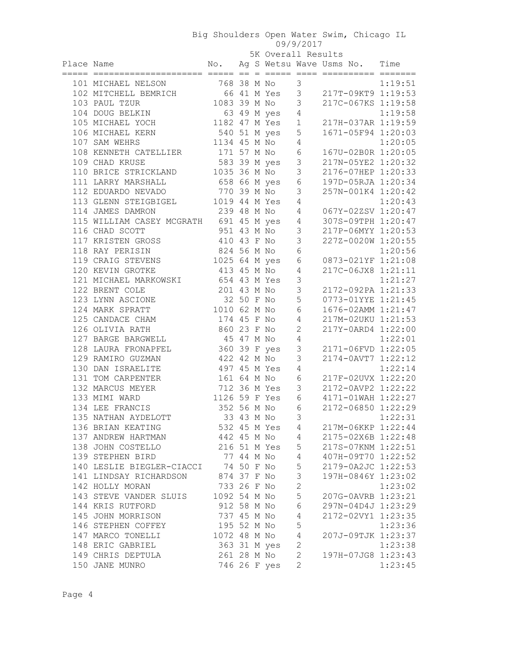| No. Ag S Wetsu Wave Usms No. Time<br>Place Name<br>$102$ MITCHELL BEMRICH<br>$103$ PAUL TZUR<br>$104$ POUC PETITION<br>$104$ POUC PETITION<br>$104$ POUC PETITION<br>104 DOUG BELKIN<br>63 49 M yes 4<br>1:19:58<br>1182 47 M Yes 1<br>217H-037AR 1:19:59<br>105 MICHAEL YOCH<br>540 51 M yes 5<br>106 MICHAEL KERN<br>1671-05F94 1:20:03<br>1134 45 M No<br>107 SAM WEHRS<br>$\overline{4}$<br>1:20:05<br>171 57 M No<br>$\sqrt{6}$<br>167U-02B0R 1:20:05<br>108 KENNETH CATELLIER<br>583 39 M yes 3<br>217N-05YE2 1:20:32<br>109 CHAD KRUSE<br>1035 36 M No<br>3<br>2176-07HEP 1:20:33<br>110 BRICE STRICKLAND<br>111 LARRY MARSHALL<br>658 66 M yes 6<br>197D-05RJA 1:20:34<br>770 39 M No<br>112 EDUARDO NEVADO<br>$\mathcal{S}$<br>257N-001K4 1:20:42<br>113 GLENN STEIGBIGEL 1019 44 M Yes<br>1:20:43<br>4<br>067Y-02ZSV 1:20:47<br>114 JAMES DAMRON<br>239 48 M No<br>4<br>115 WILLIAM CASEY MCGRATH 691 45 M yes 4<br>307S-09TPH 1:20:47<br>951 43 M No<br>116 CHAD SCOTT<br>$\mathfrak{Z}$<br>217P-06MYY 1:20:53<br>410 43 F No 3<br>227Z-0020W 1:20:55<br>117 KRISTEN GROSS<br>$\sqrt{6}$<br>824 56 M No<br>1:20:56<br>118 RAY PERISIN<br>0873-021YF 1:21:08<br>1025 64 M yes<br>119 CRAIG STEVENS<br>6<br>413 45 M No<br>217C-06JX8 1:21:11<br>120 KEVIN GROTKE<br>4<br>$\mathsf 3$<br>121 MICHAEL MARKOWSKI 654 43 M Yes<br>1:21:27<br>$\mathfrak{Z}$<br>2172-092PA 1:21:33<br>201 43 M No<br>122 BRENT COLE<br>5<br>32 50 F No<br>0773-01YYE 1:21:45<br>123 LYNN ASCIONE<br>1010 62 M No<br>$\sqrt{6}$<br>124 MARK SPRATT<br>1676-02AMM 1:21:47<br>174 45 F No<br>$\sqrt{4}$<br>217M-02UKU 1:21:53<br>125 CANDACE CHAM<br>860 23 F No<br>$\mathbf{2}$<br>217Y-0ARD4 1:22:00<br>126 OLIVIA RATH<br>45 47 M No<br>$\overline{4}$<br>1:22:01<br>127 BARGE BARGWELL<br>2171-06FVD 1:22:05<br>360 39 F yes<br>$\mathfrak{Z}$<br>128 LAURA FRONAPFEL<br>3<br>129 RAMIRO GUZMAN<br>422 42 M No<br>2174-0AVT7 1:22:12<br>130 DAN ISRAELITE<br>497 45 M Yes<br>$\sqrt{4}$<br>1:22:14<br>$\epsilon$<br>161 64 M No<br>217F-02UVX 1:22:20<br>131 TOM CARPENTER<br>712 36 M Yes 3<br>2172-0AVP2 1:22:22<br>132 MARCUS MEYER<br>6<br>1126 59 F Yes<br>4171-01WAH 1:22:27<br>133 MIMI WARD<br>$6\,$<br>134 LEE FRANCIS<br>352 56 M No<br>2172-06850 1:22:29<br>3<br>33 43 M No<br>135 NATHAN AYDELOTT<br>1:22:31<br>217M-06KKP 1:22:44<br>136 BRIAN KEATING<br>532 45 M Yes<br>4<br>442 45 M No<br>2175-02X6B 1:22:48<br>137 ANDREW HARTMAN<br>4<br>5<br>138 JOHN COSTELLO<br>216 51 M Yes<br>217S-07KNM 1:22:51<br>77 44 M No<br>139 STEPHEN BIRD<br>$\overline{4}$<br>407H-09T70 1:22:52<br>5<br>74 50 F No<br>140 LESLIE BIEGLER-CIACCI<br>2179-0A2JC 1:22:53<br>$\mathsf 3$<br>141 LINDSAY RICHARDSON<br>874 37 F No<br>197H-0846Y 1:23:02<br>$\mathbf{2}$<br>142 HOLLY MORAN<br>733 26 F No<br>1:23:02<br>5<br>1092 54 M No<br>143 STEVE VANDER SLUIS<br>207G-0AVRB 1:23:21<br>$\epsilon$<br>912 58 M No<br>144 KRIS RUTFORD<br>297N-04D4J 1:23:29<br>$\sqrt{4}$<br>737 45 M No<br>145 JOHN MORRISON<br>2172-02VY1 1:23:35<br>5<br>195 52 M No<br>146 STEPHEN COFFEY<br>1:23:36<br>$\overline{4}$<br>1072 48 M No<br>147 MARCO TONELLI<br>207J-09TJK 1:23:37<br>$\sqrt{2}$<br>363 31 M yes<br>148 ERIC GABRIEL<br>1:23:38<br>$\mathbf{2}$<br>261 28 M No<br>149 CHRIS DEPTULA<br>197H-07JG8 1:23:43<br>746 26 F yes<br>2<br>150 JANE MUNRO<br>1:23:45 |  | 5K Overall Results |  |  |  |
|-----------------------------------------------------------------------------------------------------------------------------------------------------------------------------------------------------------------------------------------------------------------------------------------------------------------------------------------------------------------------------------------------------------------------------------------------------------------------------------------------------------------------------------------------------------------------------------------------------------------------------------------------------------------------------------------------------------------------------------------------------------------------------------------------------------------------------------------------------------------------------------------------------------------------------------------------------------------------------------------------------------------------------------------------------------------------------------------------------------------------------------------------------------------------------------------------------------------------------------------------------------------------------------------------------------------------------------------------------------------------------------------------------------------------------------------------------------------------------------------------------------------------------------------------------------------------------------------------------------------------------------------------------------------------------------------------------------------------------------------------------------------------------------------------------------------------------------------------------------------------------------------------------------------------------------------------------------------------------------------------------------------------------------------------------------------------------------------------------------------------------------------------------------------------------------------------------------------------------------------------------------------------------------------------------------------------------------------------------------------------------------------------------------------------------------------------------------------------------------------------------------------------------------------------------------------------------------------------------------------------------------------------------------------------------------------------------------------------------------------------------------------------------------------------------------------------------------------------------------------------------------------------------------------------------------------------------------------------------------------------------------------------------------------------------------------------------------------------------------------------------------------------------------------------------------------------------------------------------------------------------------------------------------------------------------------------------------------------------------|--|--------------------|--|--|--|
|                                                                                                                                                                                                                                                                                                                                                                                                                                                                                                                                                                                                                                                                                                                                                                                                                                                                                                                                                                                                                                                                                                                                                                                                                                                                                                                                                                                                                                                                                                                                                                                                                                                                                                                                                                                                                                                                                                                                                                                                                                                                                                                                                                                                                                                                                                                                                                                                                                                                                                                                                                                                                                                                                                                                                                                                                                                                                                                                                                                                                                                                                                                                                                                                                                                                                                                                                           |  |                    |  |  |  |
|                                                                                                                                                                                                                                                                                                                                                                                                                                                                                                                                                                                                                                                                                                                                                                                                                                                                                                                                                                                                                                                                                                                                                                                                                                                                                                                                                                                                                                                                                                                                                                                                                                                                                                                                                                                                                                                                                                                                                                                                                                                                                                                                                                                                                                                                                                                                                                                                                                                                                                                                                                                                                                                                                                                                                                                                                                                                                                                                                                                                                                                                                                                                                                                                                                                                                                                                                           |  |                    |  |  |  |
|                                                                                                                                                                                                                                                                                                                                                                                                                                                                                                                                                                                                                                                                                                                                                                                                                                                                                                                                                                                                                                                                                                                                                                                                                                                                                                                                                                                                                                                                                                                                                                                                                                                                                                                                                                                                                                                                                                                                                                                                                                                                                                                                                                                                                                                                                                                                                                                                                                                                                                                                                                                                                                                                                                                                                                                                                                                                                                                                                                                                                                                                                                                                                                                                                                                                                                                                                           |  |                    |  |  |  |
|                                                                                                                                                                                                                                                                                                                                                                                                                                                                                                                                                                                                                                                                                                                                                                                                                                                                                                                                                                                                                                                                                                                                                                                                                                                                                                                                                                                                                                                                                                                                                                                                                                                                                                                                                                                                                                                                                                                                                                                                                                                                                                                                                                                                                                                                                                                                                                                                                                                                                                                                                                                                                                                                                                                                                                                                                                                                                                                                                                                                                                                                                                                                                                                                                                                                                                                                                           |  |                    |  |  |  |
|                                                                                                                                                                                                                                                                                                                                                                                                                                                                                                                                                                                                                                                                                                                                                                                                                                                                                                                                                                                                                                                                                                                                                                                                                                                                                                                                                                                                                                                                                                                                                                                                                                                                                                                                                                                                                                                                                                                                                                                                                                                                                                                                                                                                                                                                                                                                                                                                                                                                                                                                                                                                                                                                                                                                                                                                                                                                                                                                                                                                                                                                                                                                                                                                                                                                                                                                                           |  |                    |  |  |  |
|                                                                                                                                                                                                                                                                                                                                                                                                                                                                                                                                                                                                                                                                                                                                                                                                                                                                                                                                                                                                                                                                                                                                                                                                                                                                                                                                                                                                                                                                                                                                                                                                                                                                                                                                                                                                                                                                                                                                                                                                                                                                                                                                                                                                                                                                                                                                                                                                                                                                                                                                                                                                                                                                                                                                                                                                                                                                                                                                                                                                                                                                                                                                                                                                                                                                                                                                                           |  |                    |  |  |  |
|                                                                                                                                                                                                                                                                                                                                                                                                                                                                                                                                                                                                                                                                                                                                                                                                                                                                                                                                                                                                                                                                                                                                                                                                                                                                                                                                                                                                                                                                                                                                                                                                                                                                                                                                                                                                                                                                                                                                                                                                                                                                                                                                                                                                                                                                                                                                                                                                                                                                                                                                                                                                                                                                                                                                                                                                                                                                                                                                                                                                                                                                                                                                                                                                                                                                                                                                                           |  |                    |  |  |  |
|                                                                                                                                                                                                                                                                                                                                                                                                                                                                                                                                                                                                                                                                                                                                                                                                                                                                                                                                                                                                                                                                                                                                                                                                                                                                                                                                                                                                                                                                                                                                                                                                                                                                                                                                                                                                                                                                                                                                                                                                                                                                                                                                                                                                                                                                                                                                                                                                                                                                                                                                                                                                                                                                                                                                                                                                                                                                                                                                                                                                                                                                                                                                                                                                                                                                                                                                                           |  |                    |  |  |  |
|                                                                                                                                                                                                                                                                                                                                                                                                                                                                                                                                                                                                                                                                                                                                                                                                                                                                                                                                                                                                                                                                                                                                                                                                                                                                                                                                                                                                                                                                                                                                                                                                                                                                                                                                                                                                                                                                                                                                                                                                                                                                                                                                                                                                                                                                                                                                                                                                                                                                                                                                                                                                                                                                                                                                                                                                                                                                                                                                                                                                                                                                                                                                                                                                                                                                                                                                                           |  |                    |  |  |  |
|                                                                                                                                                                                                                                                                                                                                                                                                                                                                                                                                                                                                                                                                                                                                                                                                                                                                                                                                                                                                                                                                                                                                                                                                                                                                                                                                                                                                                                                                                                                                                                                                                                                                                                                                                                                                                                                                                                                                                                                                                                                                                                                                                                                                                                                                                                                                                                                                                                                                                                                                                                                                                                                                                                                                                                                                                                                                                                                                                                                                                                                                                                                                                                                                                                                                                                                                                           |  |                    |  |  |  |
|                                                                                                                                                                                                                                                                                                                                                                                                                                                                                                                                                                                                                                                                                                                                                                                                                                                                                                                                                                                                                                                                                                                                                                                                                                                                                                                                                                                                                                                                                                                                                                                                                                                                                                                                                                                                                                                                                                                                                                                                                                                                                                                                                                                                                                                                                                                                                                                                                                                                                                                                                                                                                                                                                                                                                                                                                                                                                                                                                                                                                                                                                                                                                                                                                                                                                                                                                           |  |                    |  |  |  |
|                                                                                                                                                                                                                                                                                                                                                                                                                                                                                                                                                                                                                                                                                                                                                                                                                                                                                                                                                                                                                                                                                                                                                                                                                                                                                                                                                                                                                                                                                                                                                                                                                                                                                                                                                                                                                                                                                                                                                                                                                                                                                                                                                                                                                                                                                                                                                                                                                                                                                                                                                                                                                                                                                                                                                                                                                                                                                                                                                                                                                                                                                                                                                                                                                                                                                                                                                           |  |                    |  |  |  |
|                                                                                                                                                                                                                                                                                                                                                                                                                                                                                                                                                                                                                                                                                                                                                                                                                                                                                                                                                                                                                                                                                                                                                                                                                                                                                                                                                                                                                                                                                                                                                                                                                                                                                                                                                                                                                                                                                                                                                                                                                                                                                                                                                                                                                                                                                                                                                                                                                                                                                                                                                                                                                                                                                                                                                                                                                                                                                                                                                                                                                                                                                                                                                                                                                                                                                                                                                           |  |                    |  |  |  |
|                                                                                                                                                                                                                                                                                                                                                                                                                                                                                                                                                                                                                                                                                                                                                                                                                                                                                                                                                                                                                                                                                                                                                                                                                                                                                                                                                                                                                                                                                                                                                                                                                                                                                                                                                                                                                                                                                                                                                                                                                                                                                                                                                                                                                                                                                                                                                                                                                                                                                                                                                                                                                                                                                                                                                                                                                                                                                                                                                                                                                                                                                                                                                                                                                                                                                                                                                           |  |                    |  |  |  |
|                                                                                                                                                                                                                                                                                                                                                                                                                                                                                                                                                                                                                                                                                                                                                                                                                                                                                                                                                                                                                                                                                                                                                                                                                                                                                                                                                                                                                                                                                                                                                                                                                                                                                                                                                                                                                                                                                                                                                                                                                                                                                                                                                                                                                                                                                                                                                                                                                                                                                                                                                                                                                                                                                                                                                                                                                                                                                                                                                                                                                                                                                                                                                                                                                                                                                                                                                           |  |                    |  |  |  |
|                                                                                                                                                                                                                                                                                                                                                                                                                                                                                                                                                                                                                                                                                                                                                                                                                                                                                                                                                                                                                                                                                                                                                                                                                                                                                                                                                                                                                                                                                                                                                                                                                                                                                                                                                                                                                                                                                                                                                                                                                                                                                                                                                                                                                                                                                                                                                                                                                                                                                                                                                                                                                                                                                                                                                                                                                                                                                                                                                                                                                                                                                                                                                                                                                                                                                                                                                           |  |                    |  |  |  |
|                                                                                                                                                                                                                                                                                                                                                                                                                                                                                                                                                                                                                                                                                                                                                                                                                                                                                                                                                                                                                                                                                                                                                                                                                                                                                                                                                                                                                                                                                                                                                                                                                                                                                                                                                                                                                                                                                                                                                                                                                                                                                                                                                                                                                                                                                                                                                                                                                                                                                                                                                                                                                                                                                                                                                                                                                                                                                                                                                                                                                                                                                                                                                                                                                                                                                                                                                           |  |                    |  |  |  |
|                                                                                                                                                                                                                                                                                                                                                                                                                                                                                                                                                                                                                                                                                                                                                                                                                                                                                                                                                                                                                                                                                                                                                                                                                                                                                                                                                                                                                                                                                                                                                                                                                                                                                                                                                                                                                                                                                                                                                                                                                                                                                                                                                                                                                                                                                                                                                                                                                                                                                                                                                                                                                                                                                                                                                                                                                                                                                                                                                                                                                                                                                                                                                                                                                                                                                                                                                           |  |                    |  |  |  |
|                                                                                                                                                                                                                                                                                                                                                                                                                                                                                                                                                                                                                                                                                                                                                                                                                                                                                                                                                                                                                                                                                                                                                                                                                                                                                                                                                                                                                                                                                                                                                                                                                                                                                                                                                                                                                                                                                                                                                                                                                                                                                                                                                                                                                                                                                                                                                                                                                                                                                                                                                                                                                                                                                                                                                                                                                                                                                                                                                                                                                                                                                                                                                                                                                                                                                                                                                           |  |                    |  |  |  |
|                                                                                                                                                                                                                                                                                                                                                                                                                                                                                                                                                                                                                                                                                                                                                                                                                                                                                                                                                                                                                                                                                                                                                                                                                                                                                                                                                                                                                                                                                                                                                                                                                                                                                                                                                                                                                                                                                                                                                                                                                                                                                                                                                                                                                                                                                                                                                                                                                                                                                                                                                                                                                                                                                                                                                                                                                                                                                                                                                                                                                                                                                                                                                                                                                                                                                                                                                           |  |                    |  |  |  |
|                                                                                                                                                                                                                                                                                                                                                                                                                                                                                                                                                                                                                                                                                                                                                                                                                                                                                                                                                                                                                                                                                                                                                                                                                                                                                                                                                                                                                                                                                                                                                                                                                                                                                                                                                                                                                                                                                                                                                                                                                                                                                                                                                                                                                                                                                                                                                                                                                                                                                                                                                                                                                                                                                                                                                                                                                                                                                                                                                                                                                                                                                                                                                                                                                                                                                                                                                           |  |                    |  |  |  |
|                                                                                                                                                                                                                                                                                                                                                                                                                                                                                                                                                                                                                                                                                                                                                                                                                                                                                                                                                                                                                                                                                                                                                                                                                                                                                                                                                                                                                                                                                                                                                                                                                                                                                                                                                                                                                                                                                                                                                                                                                                                                                                                                                                                                                                                                                                                                                                                                                                                                                                                                                                                                                                                                                                                                                                                                                                                                                                                                                                                                                                                                                                                                                                                                                                                                                                                                                           |  |                    |  |  |  |
|                                                                                                                                                                                                                                                                                                                                                                                                                                                                                                                                                                                                                                                                                                                                                                                                                                                                                                                                                                                                                                                                                                                                                                                                                                                                                                                                                                                                                                                                                                                                                                                                                                                                                                                                                                                                                                                                                                                                                                                                                                                                                                                                                                                                                                                                                                                                                                                                                                                                                                                                                                                                                                                                                                                                                                                                                                                                                                                                                                                                                                                                                                                                                                                                                                                                                                                                                           |  |                    |  |  |  |
|                                                                                                                                                                                                                                                                                                                                                                                                                                                                                                                                                                                                                                                                                                                                                                                                                                                                                                                                                                                                                                                                                                                                                                                                                                                                                                                                                                                                                                                                                                                                                                                                                                                                                                                                                                                                                                                                                                                                                                                                                                                                                                                                                                                                                                                                                                                                                                                                                                                                                                                                                                                                                                                                                                                                                                                                                                                                                                                                                                                                                                                                                                                                                                                                                                                                                                                                                           |  |                    |  |  |  |
|                                                                                                                                                                                                                                                                                                                                                                                                                                                                                                                                                                                                                                                                                                                                                                                                                                                                                                                                                                                                                                                                                                                                                                                                                                                                                                                                                                                                                                                                                                                                                                                                                                                                                                                                                                                                                                                                                                                                                                                                                                                                                                                                                                                                                                                                                                                                                                                                                                                                                                                                                                                                                                                                                                                                                                                                                                                                                                                                                                                                                                                                                                                                                                                                                                                                                                                                                           |  |                    |  |  |  |
|                                                                                                                                                                                                                                                                                                                                                                                                                                                                                                                                                                                                                                                                                                                                                                                                                                                                                                                                                                                                                                                                                                                                                                                                                                                                                                                                                                                                                                                                                                                                                                                                                                                                                                                                                                                                                                                                                                                                                                                                                                                                                                                                                                                                                                                                                                                                                                                                                                                                                                                                                                                                                                                                                                                                                                                                                                                                                                                                                                                                                                                                                                                                                                                                                                                                                                                                                           |  |                    |  |  |  |
|                                                                                                                                                                                                                                                                                                                                                                                                                                                                                                                                                                                                                                                                                                                                                                                                                                                                                                                                                                                                                                                                                                                                                                                                                                                                                                                                                                                                                                                                                                                                                                                                                                                                                                                                                                                                                                                                                                                                                                                                                                                                                                                                                                                                                                                                                                                                                                                                                                                                                                                                                                                                                                                                                                                                                                                                                                                                                                                                                                                                                                                                                                                                                                                                                                                                                                                                                           |  |                    |  |  |  |
|                                                                                                                                                                                                                                                                                                                                                                                                                                                                                                                                                                                                                                                                                                                                                                                                                                                                                                                                                                                                                                                                                                                                                                                                                                                                                                                                                                                                                                                                                                                                                                                                                                                                                                                                                                                                                                                                                                                                                                                                                                                                                                                                                                                                                                                                                                                                                                                                                                                                                                                                                                                                                                                                                                                                                                                                                                                                                                                                                                                                                                                                                                                                                                                                                                                                                                                                                           |  |                    |  |  |  |
|                                                                                                                                                                                                                                                                                                                                                                                                                                                                                                                                                                                                                                                                                                                                                                                                                                                                                                                                                                                                                                                                                                                                                                                                                                                                                                                                                                                                                                                                                                                                                                                                                                                                                                                                                                                                                                                                                                                                                                                                                                                                                                                                                                                                                                                                                                                                                                                                                                                                                                                                                                                                                                                                                                                                                                                                                                                                                                                                                                                                                                                                                                                                                                                                                                                                                                                                                           |  |                    |  |  |  |
|                                                                                                                                                                                                                                                                                                                                                                                                                                                                                                                                                                                                                                                                                                                                                                                                                                                                                                                                                                                                                                                                                                                                                                                                                                                                                                                                                                                                                                                                                                                                                                                                                                                                                                                                                                                                                                                                                                                                                                                                                                                                                                                                                                                                                                                                                                                                                                                                                                                                                                                                                                                                                                                                                                                                                                                                                                                                                                                                                                                                                                                                                                                                                                                                                                                                                                                                                           |  |                    |  |  |  |
|                                                                                                                                                                                                                                                                                                                                                                                                                                                                                                                                                                                                                                                                                                                                                                                                                                                                                                                                                                                                                                                                                                                                                                                                                                                                                                                                                                                                                                                                                                                                                                                                                                                                                                                                                                                                                                                                                                                                                                                                                                                                                                                                                                                                                                                                                                                                                                                                                                                                                                                                                                                                                                                                                                                                                                                                                                                                                                                                                                                                                                                                                                                                                                                                                                                                                                                                                           |  |                    |  |  |  |
|                                                                                                                                                                                                                                                                                                                                                                                                                                                                                                                                                                                                                                                                                                                                                                                                                                                                                                                                                                                                                                                                                                                                                                                                                                                                                                                                                                                                                                                                                                                                                                                                                                                                                                                                                                                                                                                                                                                                                                                                                                                                                                                                                                                                                                                                                                                                                                                                                                                                                                                                                                                                                                                                                                                                                                                                                                                                                                                                                                                                                                                                                                                                                                                                                                                                                                                                                           |  |                    |  |  |  |
|                                                                                                                                                                                                                                                                                                                                                                                                                                                                                                                                                                                                                                                                                                                                                                                                                                                                                                                                                                                                                                                                                                                                                                                                                                                                                                                                                                                                                                                                                                                                                                                                                                                                                                                                                                                                                                                                                                                                                                                                                                                                                                                                                                                                                                                                                                                                                                                                                                                                                                                                                                                                                                                                                                                                                                                                                                                                                                                                                                                                                                                                                                                                                                                                                                                                                                                                                           |  |                    |  |  |  |
|                                                                                                                                                                                                                                                                                                                                                                                                                                                                                                                                                                                                                                                                                                                                                                                                                                                                                                                                                                                                                                                                                                                                                                                                                                                                                                                                                                                                                                                                                                                                                                                                                                                                                                                                                                                                                                                                                                                                                                                                                                                                                                                                                                                                                                                                                                                                                                                                                                                                                                                                                                                                                                                                                                                                                                                                                                                                                                                                                                                                                                                                                                                                                                                                                                                                                                                                                           |  |                    |  |  |  |
|                                                                                                                                                                                                                                                                                                                                                                                                                                                                                                                                                                                                                                                                                                                                                                                                                                                                                                                                                                                                                                                                                                                                                                                                                                                                                                                                                                                                                                                                                                                                                                                                                                                                                                                                                                                                                                                                                                                                                                                                                                                                                                                                                                                                                                                                                                                                                                                                                                                                                                                                                                                                                                                                                                                                                                                                                                                                                                                                                                                                                                                                                                                                                                                                                                                                                                                                                           |  |                    |  |  |  |
|                                                                                                                                                                                                                                                                                                                                                                                                                                                                                                                                                                                                                                                                                                                                                                                                                                                                                                                                                                                                                                                                                                                                                                                                                                                                                                                                                                                                                                                                                                                                                                                                                                                                                                                                                                                                                                                                                                                                                                                                                                                                                                                                                                                                                                                                                                                                                                                                                                                                                                                                                                                                                                                                                                                                                                                                                                                                                                                                                                                                                                                                                                                                                                                                                                                                                                                                                           |  |                    |  |  |  |
|                                                                                                                                                                                                                                                                                                                                                                                                                                                                                                                                                                                                                                                                                                                                                                                                                                                                                                                                                                                                                                                                                                                                                                                                                                                                                                                                                                                                                                                                                                                                                                                                                                                                                                                                                                                                                                                                                                                                                                                                                                                                                                                                                                                                                                                                                                                                                                                                                                                                                                                                                                                                                                                                                                                                                                                                                                                                                                                                                                                                                                                                                                                                                                                                                                                                                                                                                           |  |                    |  |  |  |
|                                                                                                                                                                                                                                                                                                                                                                                                                                                                                                                                                                                                                                                                                                                                                                                                                                                                                                                                                                                                                                                                                                                                                                                                                                                                                                                                                                                                                                                                                                                                                                                                                                                                                                                                                                                                                                                                                                                                                                                                                                                                                                                                                                                                                                                                                                                                                                                                                                                                                                                                                                                                                                                                                                                                                                                                                                                                                                                                                                                                                                                                                                                                                                                                                                                                                                                                                           |  |                    |  |  |  |
|                                                                                                                                                                                                                                                                                                                                                                                                                                                                                                                                                                                                                                                                                                                                                                                                                                                                                                                                                                                                                                                                                                                                                                                                                                                                                                                                                                                                                                                                                                                                                                                                                                                                                                                                                                                                                                                                                                                                                                                                                                                                                                                                                                                                                                                                                                                                                                                                                                                                                                                                                                                                                                                                                                                                                                                                                                                                                                                                                                                                                                                                                                                                                                                                                                                                                                                                                           |  |                    |  |  |  |
|                                                                                                                                                                                                                                                                                                                                                                                                                                                                                                                                                                                                                                                                                                                                                                                                                                                                                                                                                                                                                                                                                                                                                                                                                                                                                                                                                                                                                                                                                                                                                                                                                                                                                                                                                                                                                                                                                                                                                                                                                                                                                                                                                                                                                                                                                                                                                                                                                                                                                                                                                                                                                                                                                                                                                                                                                                                                                                                                                                                                                                                                                                                                                                                                                                                                                                                                                           |  |                    |  |  |  |
|                                                                                                                                                                                                                                                                                                                                                                                                                                                                                                                                                                                                                                                                                                                                                                                                                                                                                                                                                                                                                                                                                                                                                                                                                                                                                                                                                                                                                                                                                                                                                                                                                                                                                                                                                                                                                                                                                                                                                                                                                                                                                                                                                                                                                                                                                                                                                                                                                                                                                                                                                                                                                                                                                                                                                                                                                                                                                                                                                                                                                                                                                                                                                                                                                                                                                                                                                           |  |                    |  |  |  |
|                                                                                                                                                                                                                                                                                                                                                                                                                                                                                                                                                                                                                                                                                                                                                                                                                                                                                                                                                                                                                                                                                                                                                                                                                                                                                                                                                                                                                                                                                                                                                                                                                                                                                                                                                                                                                                                                                                                                                                                                                                                                                                                                                                                                                                                                                                                                                                                                                                                                                                                                                                                                                                                                                                                                                                                                                                                                                                                                                                                                                                                                                                                                                                                                                                                                                                                                                           |  |                    |  |  |  |
|                                                                                                                                                                                                                                                                                                                                                                                                                                                                                                                                                                                                                                                                                                                                                                                                                                                                                                                                                                                                                                                                                                                                                                                                                                                                                                                                                                                                                                                                                                                                                                                                                                                                                                                                                                                                                                                                                                                                                                                                                                                                                                                                                                                                                                                                                                                                                                                                                                                                                                                                                                                                                                                                                                                                                                                                                                                                                                                                                                                                                                                                                                                                                                                                                                                                                                                                                           |  |                    |  |  |  |
|                                                                                                                                                                                                                                                                                                                                                                                                                                                                                                                                                                                                                                                                                                                                                                                                                                                                                                                                                                                                                                                                                                                                                                                                                                                                                                                                                                                                                                                                                                                                                                                                                                                                                                                                                                                                                                                                                                                                                                                                                                                                                                                                                                                                                                                                                                                                                                                                                                                                                                                                                                                                                                                                                                                                                                                                                                                                                                                                                                                                                                                                                                                                                                                                                                                                                                                                                           |  |                    |  |  |  |
|                                                                                                                                                                                                                                                                                                                                                                                                                                                                                                                                                                                                                                                                                                                                                                                                                                                                                                                                                                                                                                                                                                                                                                                                                                                                                                                                                                                                                                                                                                                                                                                                                                                                                                                                                                                                                                                                                                                                                                                                                                                                                                                                                                                                                                                                                                                                                                                                                                                                                                                                                                                                                                                                                                                                                                                                                                                                                                                                                                                                                                                                                                                                                                                                                                                                                                                                                           |  |                    |  |  |  |
|                                                                                                                                                                                                                                                                                                                                                                                                                                                                                                                                                                                                                                                                                                                                                                                                                                                                                                                                                                                                                                                                                                                                                                                                                                                                                                                                                                                                                                                                                                                                                                                                                                                                                                                                                                                                                                                                                                                                                                                                                                                                                                                                                                                                                                                                                                                                                                                                                                                                                                                                                                                                                                                                                                                                                                                                                                                                                                                                                                                                                                                                                                                                                                                                                                                                                                                                                           |  |                    |  |  |  |
|                                                                                                                                                                                                                                                                                                                                                                                                                                                                                                                                                                                                                                                                                                                                                                                                                                                                                                                                                                                                                                                                                                                                                                                                                                                                                                                                                                                                                                                                                                                                                                                                                                                                                                                                                                                                                                                                                                                                                                                                                                                                                                                                                                                                                                                                                                                                                                                                                                                                                                                                                                                                                                                                                                                                                                                                                                                                                                                                                                                                                                                                                                                                                                                                                                                                                                                                                           |  |                    |  |  |  |
|                                                                                                                                                                                                                                                                                                                                                                                                                                                                                                                                                                                                                                                                                                                                                                                                                                                                                                                                                                                                                                                                                                                                                                                                                                                                                                                                                                                                                                                                                                                                                                                                                                                                                                                                                                                                                                                                                                                                                                                                                                                                                                                                                                                                                                                                                                                                                                                                                                                                                                                                                                                                                                                                                                                                                                                                                                                                                                                                                                                                                                                                                                                                                                                                                                                                                                                                                           |  |                    |  |  |  |
|                                                                                                                                                                                                                                                                                                                                                                                                                                                                                                                                                                                                                                                                                                                                                                                                                                                                                                                                                                                                                                                                                                                                                                                                                                                                                                                                                                                                                                                                                                                                                                                                                                                                                                                                                                                                                                                                                                                                                                                                                                                                                                                                                                                                                                                                                                                                                                                                                                                                                                                                                                                                                                                                                                                                                                                                                                                                                                                                                                                                                                                                                                                                                                                                                                                                                                                                                           |  |                    |  |  |  |
|                                                                                                                                                                                                                                                                                                                                                                                                                                                                                                                                                                                                                                                                                                                                                                                                                                                                                                                                                                                                                                                                                                                                                                                                                                                                                                                                                                                                                                                                                                                                                                                                                                                                                                                                                                                                                                                                                                                                                                                                                                                                                                                                                                                                                                                                                                                                                                                                                                                                                                                                                                                                                                                                                                                                                                                                                                                                                                                                                                                                                                                                                                                                                                                                                                                                                                                                                           |  |                    |  |  |  |
|                                                                                                                                                                                                                                                                                                                                                                                                                                                                                                                                                                                                                                                                                                                                                                                                                                                                                                                                                                                                                                                                                                                                                                                                                                                                                                                                                                                                                                                                                                                                                                                                                                                                                                                                                                                                                                                                                                                                                                                                                                                                                                                                                                                                                                                                                                                                                                                                                                                                                                                                                                                                                                                                                                                                                                                                                                                                                                                                                                                                                                                                                                                                                                                                                                                                                                                                                           |  |                    |  |  |  |
|                                                                                                                                                                                                                                                                                                                                                                                                                                                                                                                                                                                                                                                                                                                                                                                                                                                                                                                                                                                                                                                                                                                                                                                                                                                                                                                                                                                                                                                                                                                                                                                                                                                                                                                                                                                                                                                                                                                                                                                                                                                                                                                                                                                                                                                                                                                                                                                                                                                                                                                                                                                                                                                                                                                                                                                                                                                                                                                                                                                                                                                                                                                                                                                                                                                                                                                                                           |  |                    |  |  |  |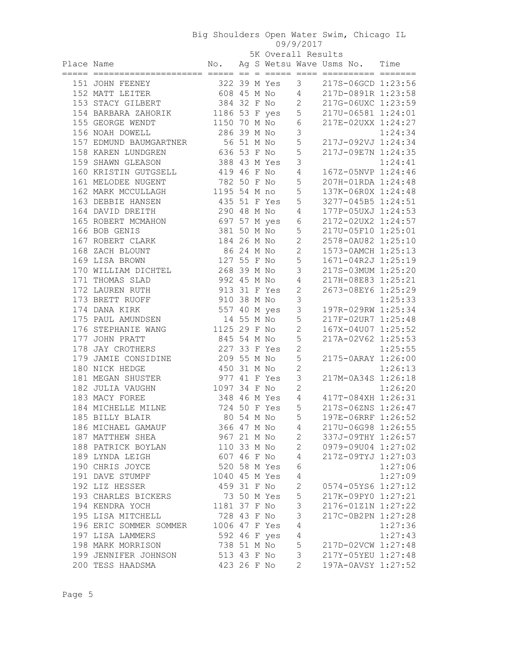| $\circ$ $\circ$ $\prime$ $\circ$ $\circ$ $\circ$ $\circ$ $\circ$ $\circ$ |  |  |  |  |
|--------------------------------------------------------------------------|--|--|--|--|
| $5K$ Overall Results                                                     |  |  |  |  |

|            | 5K Overall Results                      |                               |            |  |                |                     |                                          |         |
|------------|-----------------------------------------|-------------------------------|------------|--|----------------|---------------------|------------------------------------------|---------|
| Place Name |                                         |                               |            |  |                |                     | No. Ag S Wetsu Wave Usms No. Time        |         |
|            | 151 JOHN FEENEY                         |                               |            |  | 322 39 M Yes 3 |                     | 217S-06GCD 1:23:56                       |         |
|            | 152 MATT LEITER                         |                               |            |  | 608 45 M No 4  |                     | 217D-0891R 1:23:58                       |         |
|            | 153 STACY GILBERT                       |                               |            |  | 384 32 F No    | 2                   | 217G-06UXC 1:23:59                       |         |
|            |                                         |                               |            |  |                | 5                   | 217U-06581 1:24:01                       |         |
|            | 154 BARBARA ZAHORIK<br>155 GEORGE WENDT | 1186 53 F yes<br>1150 70 M No |            |  |                | 6                   | 217E-02UXX 1:24:27                       |         |
|            | 156 NOAH DOWELL                         | 286 39 M No                   |            |  |                | 3                   |                                          | 1:24:34 |
|            |                                         | 56 51 M No                    |            |  |                | 5                   |                                          |         |
|            | 157 EDMUND BAUMGARTNER                  | 636 53 F No                   |            |  |                |                     | 217J-092VJ 1:24:34                       |         |
|            | 158 KAREN LUNDGREN                      |                               |            |  |                | 5<br>3              | 217J-09E7N 1:24:35                       | 1:24:41 |
|            | 159 SHAWN GLEASON                       | 419 46 F No                   |            |  | 388 43 M Yes   |                     | 167Z-05NVP 1:24:46                       |         |
|            | 160 KRISTIN GUTGSELL                    |                               |            |  |                | 4                   |                                          |         |
|            | 161 MELODEE NUGENT                      | 782 50 F No                   |            |  |                | 5<br>5              | 207H-01RDA 1:24:48                       |         |
|            | 162 MARK MCCULLAGH                      | 1195 54 M no<br>435 51 F Yes  |            |  |                | 5                   | 137K-06R0X 1:24:48                       |         |
|            | 163 DEBBIE HANSEN                       | 290 48 M No                   |            |  |                | 4                   | 3277-045B5 1:24:51<br>177P-05UXJ 1:24:53 |         |
|            | 164 DAVID DREITH<br>165 ROBERT MCMAHON  | 697 57 M yes                  |            |  |                |                     | 2172-02UX2 1:24:57                       |         |
|            |                                         | 381 50 M No                   |            |  |                | $6\,$<br>5          | 217U-05F10 1:25:01                       |         |
|            | 166 BOB GENIS                           | 184 26 M No                   |            |  |                | $\mathbf{2}$        | 2578-0AU82 1:25:10                       |         |
|            | 167 ROBERT CLARK                        |                               |            |  |                | $\mathbf{2}$        |                                          |         |
|            | 168 ZACH BLOUNT                         | 86 24 M No                    |            |  |                |                     | 1573-0AMCH 1:25:13                       |         |
|            | 169 LISA BROWN                          | 127 55 F No                   |            |  |                | 5                   | 1671-04R2J 1:25:19                       |         |
|            | 170 WILLIAM DICHTEL                     | 268 39 M No                   |            |  |                | 3                   | 217S-03MUM 1:25:20                       |         |
|            | 171 THOMAS SLAD                         | 992 45 M No                   |            |  |                | $\sqrt{4}$          | 217H-08E83 1:25:21                       |         |
|            | 172 LAUREN RUTH                         | 913 31 F Yes                  |            |  |                | $\mathbf{2}$        | 2673-08EY6 1:25:29                       |         |
|            | 173 BRETT RUOFF                         | 910 38 M No                   |            |  |                | 3                   |                                          | 1:25:33 |
|            | 174 DANA KIRK                           |                               |            |  | 557 40 M yes   | $\mathsf 3$         | 197R-029RW 1:25:34                       |         |
|            | 175 PAUL AMUNDSEN                       |                               |            |  | 14 55 M No     | 5                   | 217F-02UR7 1:25:48                       |         |
|            | 176 STEPHANIE WANG                      | 1125 29 F No                  |            |  |                | $\mathbf{2}$        | 167X-04U07 1:25:52                       |         |
|            | 177 JOHN PRATT                          | 845 54 M No                   |            |  |                | 5<br>$\overline{c}$ | 217A-02V62 1:25:53                       |         |
|            | 178 JAY CROTHERS                        | 227 33 F Yes                  |            |  |                | 5                   |                                          | 1:25:55 |
|            | 179 JAMIE CONSIDINE                     | 209 55 M No                   |            |  |                |                     | 2175-0ARAY 1:26:00                       |         |
|            | 180 NICK HEDGE<br>181 MEGAN SHUSTER     | 450 31 M No<br>977 41 F Yes   |            |  |                | $\mathbf{2}$<br>3   |                                          | 1:26:13 |
|            | 182 JULIA VAUGHN                        | 1097 34 F No                  |            |  |                | $\mathbf{2}$        | 217M-0A34S 1:26:18                       |         |
|            |                                         |                               |            |  | 348 46 M Yes 4 |                     | 417T-084XH 1:26:31                       | 1:26:20 |
|            | 183 MACY FOREE<br>184 MICHELLE MILNE    |                               |            |  | 724 50 F Yes 5 |                     | 217S-06ZNS 1:26:47                       |         |
|            |                                         |                               |            |  |                | 5                   |                                          |         |
|            | 185 BILLY BLAIR                         |                               | 80 54 M No |  |                |                     | 197E-06RRF 1:26:52<br>217U-06G98 1:26:55 |         |
|            | 186 MICHAEL GAMAUF                      | 366 47 M No                   |            |  |                | 4<br>$\overline{2}$ | 337J-09THY 1:26:57                       |         |
|            | 187 MATTHEW SHEA<br>188 PATRICK BOYLAN  | 967 21 M No<br>110 33 M No    |            |  |                | $\overline{2}$      | 0979-09U04 1:27:02                       |         |
|            |                                         | 607 46 F No                   |            |  |                |                     |                                          |         |
|            | 189 LYNDA LEIGH                         |                               |            |  |                | 4                   | 217Z-09TYJ 1:27:03                       |         |
|            | 190 CHRIS JOYCE                         | 520 58 M Yes                  |            |  |                | 6                   |                                          | 1:27:06 |
|            | 191 DAVE STUMPF                         | 1040 45 M Yes                 |            |  |                | 4                   |                                          | 1:27:09 |
|            | 192 LIZ HESSER                          | 459 31 F No                   |            |  |                | $\mathbf 2$         | 0574-05YS6 1:27:12                       |         |
|            | 193 CHARLES BICKERS                     |                               |            |  | 73 50 M Yes    | 5                   | 217K-09PY0 1:27:21                       |         |
|            | 194 KENDRA YOCH                         | 1181 37 F No                  |            |  |                | 3                   | 2176-01Z1N 1:27:22                       |         |
|            | 195 LISA MITCHELL                       | 728 43 F No                   |            |  |                | 3                   | 217C-0B2PN 1:27:28                       |         |
|            | 196 ERIC SOMMER SOMMER                  | 1006 47 F Yes                 |            |  |                | $\sqrt{4}$          |                                          | 1:27:36 |
|            | 197 LISA LAMMERS                        |                               |            |  | 592 46 F yes   | $\sqrt{4}$          |                                          | 1:27:43 |
|            | 198 MARK MORRISON                       | 738 51 M No                   |            |  |                | 5                   | 217D-02VCW 1:27:48                       |         |
|            | 199 JENNIFER JOHNSON                    | 513 43 F No                   |            |  |                | $\mathsf 3$         | 217Y-05YEU 1:27:48                       |         |
|            | 200 TESS HAADSMA                        | 423 26 F No                   |            |  |                | 2                   | 197A-0AVSY 1:27:52                       |         |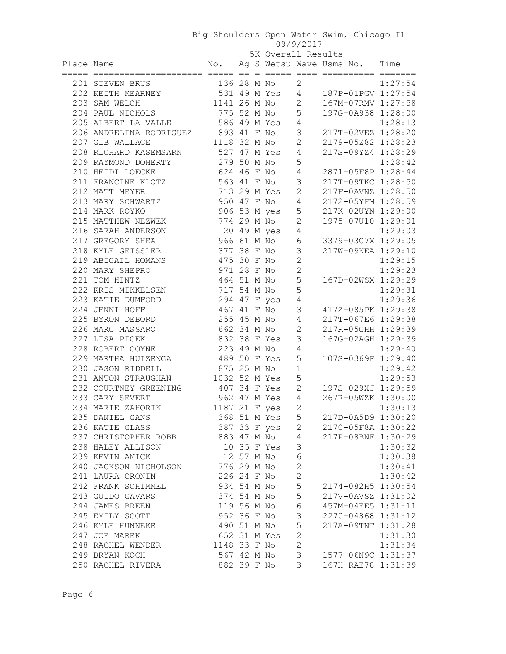| UY/Y/ZU |  |  |  |  |  |  |  |  |  |
|---------|--|--|--|--|--|--|--|--|--|
|---------|--|--|--|--|--|--|--|--|--|

|            |                                     |               |  | 5K Overall Results |                |                                                            |         |
|------------|-------------------------------------|---------------|--|--------------------|----------------|------------------------------------------------------------|---------|
| Place Name |                                     |               |  |                    |                | No. Ag S Wetsu Wave Usms No. Time                          |         |
|            |                                     |               |  |                    |                |                                                            |         |
|            | 201 STEVEN BRUS                     |               |  |                    |                | 136 28 M No 2 1:27:54<br>531 49 M Yes 4 187P-01PGV 1:27:54 |         |
|            | 202 KEITH KEARNEY                   |               |  |                    |                |                                                            |         |
|            | 203 SAM WELCH                       |               |  | 1141 26 M No 2     |                | 167M-07RMV 1:27:58                                         |         |
|            | 204 PAUL NICHOLS                    | 775 52 M No   |  |                    | 5              | 197G-0A938 1:28:00                                         |         |
|            | 205 ALBERT LA VALLE                 | 586 49 M Yes  |  |                    | 4              |                                                            | 1:28:13 |
|            | 206 ANDRELINA RODRIGUEZ 893 41 F No |               |  |                    | 3              | 217T-02VEZ 1:28:20                                         |         |
|            | 207 GIB WALLACE                     | 1118 32 M No  |  |                    | 2              | 2179-05Z82 1:28:23                                         |         |
|            | 208 RICHARD KASEMSARN               | 527 47 M Yes  |  |                    | 4              | 217S-09YZ4 1:28:29                                         |         |
|            | 209 RAYMOND DOHERTY                 | 279 50 M No   |  |                    | 5              |                                                            | 1:28:42 |
|            | 210 HEIDI LOECKE                    | 624 46 F No   |  |                    | 4              | 2871-05F8P 1:28:44                                         |         |
|            | 211 FRANCINE KLOTZ                  | 563 41 F No   |  |                    | $\mathcal{S}$  | 217T-09TKC 1:28:50                                         |         |
|            | 212 MATT MEYER                      |               |  | 713 29 M Yes       | 2              | 217F-0AVNZ 1:28:50                                         |         |
|            | 213 MARY SCHWARTZ                   | 950 47 F No   |  |                    | 4              | 2172-05YFM 1:28:59                                         |         |
|            | 214 MARK ROYKO                      |               |  | 906 53 M yes       | 5              | 217K-02UYN 1:29:00                                         |         |
|            | 215 MATTHEW NEZWEK                  | 774 29 M No   |  |                    | $\mathbf{2}$   | 1975-07U10 1:29:01                                         |         |
|            | 216 SARAH ANDERSON                  |               |  | 20 49 M yes        | 4              |                                                            | 1:29:03 |
|            | 217 GREGORY SHEA                    | 966 61 M No   |  |                    | 6              | 3379-03C7X 1:29:05                                         |         |
|            | 218 KYLE GEISSLER                   | 377 38 F No   |  |                    | $\mathcal{S}$  | 217W-09KEA 1:29:10                                         |         |
|            | 219 ABIGAIL HOMANS                  | 475 30 F No   |  |                    | $\overline{c}$ |                                                            | 1:29:15 |
|            | 220 MARY SHEPRO                     | 971 28 F No   |  |                    | $\overline{c}$ |                                                            | 1:29:23 |
|            | 221 TOM HINTZ                       | 464 51 M No   |  |                    | 5              | 167D-02WSX 1:29:29                                         |         |
|            | 222 KRIS MIKKELSEN                  | 717 54 M No   |  |                    | 5              |                                                            | 1:29:31 |
|            | 223 KATIE DUMFORD                   |               |  | 294 47 F yes       | $\sqrt{4}$     |                                                            | 1:29:36 |
|            | 224 JENNI HOFF                      | 467 41 F No   |  |                    | 3              | 417Z-085PK 1:29:38                                         |         |
|            | 225 BYRON DEBORD                    | 255 45 M No   |  |                    | 4              | 217T-067E6 1:29:38                                         |         |
|            | 226 MARC MASSARO                    | 662 34 M No   |  |                    | $\mathbf{2}$   | 217R-05GHH 1:29:39                                         |         |
|            | 227 LISA PICEK                      | 832 38 F Yes  |  |                    | 3              | 167G-02AGH 1:29:39                                         |         |
|            | 228 ROBERT COYNE                    | 223 49 M No   |  |                    | 4              |                                                            | 1:29:40 |
|            | 229 MARTHA HUIZENGA                 | 489 50 F Yes  |  |                    | 5              | 107S-0369F 1:29:40                                         |         |
|            | 230 JASON RIDDELL                   | 875 25 M No   |  |                    | $1\,$          |                                                            | 1:29:42 |
|            | 231 ANTON STRAUGHAN                 | 1032 52 M Yes |  |                    | 5              |                                                            | 1:29:53 |
|            | 232 COURTNEY GREENING               | 407 34 F Yes  |  |                    | 2              | 197S-029XJ 1:29:59                                         |         |
|            | 233 CARY SEVERT                     | 962 47 M Yes  |  |                    | 4              | 267R-05WZK 1:30:00                                         |         |
|            | 234 MARIE ZAHORIK                   | 1187 21 F yes |  |                    | $\overline{c}$ |                                                            | 1:30:13 |
|            | 235 DANIEL GANS                     |               |  | 368 51 M Yes       | 5              | 217D-0A5D9 1:30:20                                         |         |
|            | 236 KATIE GLASS                     |               |  | 387 33 F yes       | 2              | 2170-05F8A 1:30:22                                         |         |
|            | 237 CHRISTOPHER ROBB                | 883 47 M No   |  |                    | 4              | 217P-08BNF 1:30:29                                         |         |
|            | 238 HALEY ALLISON                   |               |  | 10 35 F Yes        | 3              |                                                            | 1:30:32 |
|            | 239 KEVIN AMICK                     | 12 57 M No    |  |                    | $\sqrt{6}$     |                                                            | 1:30:38 |
|            | 240 JACKSON NICHOLSON               | 776 29 M No   |  |                    | $\mathbf{2}$   |                                                            | 1:30:41 |
|            | 241 LAURA CRONIN                    | 226 24 F No   |  |                    | $\mathbf{2}$   |                                                            | 1:30:42 |
|            | 242 FRANK SCHIMMEL                  | 934 54 M No   |  |                    | 5              | 2174-082H5 1:30:54                                         |         |
|            | 243 GUIDO GAVARS                    | 374 54 M No   |  |                    | 5              | 217V-0AVSZ 1:31:02                                         |         |
|            |                                     | 119 56 M No   |  |                    | $\sqrt{6}$     |                                                            |         |
|            | 244 JAMES BREEN<br>245 EMILY SCOTT  | 952 36 F No   |  |                    | $\mathfrak{Z}$ | 457M-04EE5 1:31:11                                         |         |
|            |                                     |               |  |                    | 5              | 2270-04868 1:31:12                                         |         |
|            | 246 KYLE HUNNEKE                    | 490 51 M No   |  |                    |                | 217A-09TNT 1:31:28                                         |         |
|            | 247 JOE MAREK                       | 652 31 M Yes  |  |                    | $\mathbf{2}$   |                                                            | 1:31:30 |
|            | 248 RACHEL WENDER                   | 1148 33 F No  |  |                    | $\overline{c}$ |                                                            | 1:31:34 |
|            | 249 BRYAN KOCH                      | 567 42 M No   |  |                    | $\mathfrak{Z}$ | 1577-06N9C 1:31:37                                         |         |
|            | 250 RACHEL RIVERA                   | 882 39 F No   |  |                    | 3              | 167H-RAE78 1:31:39                                         |         |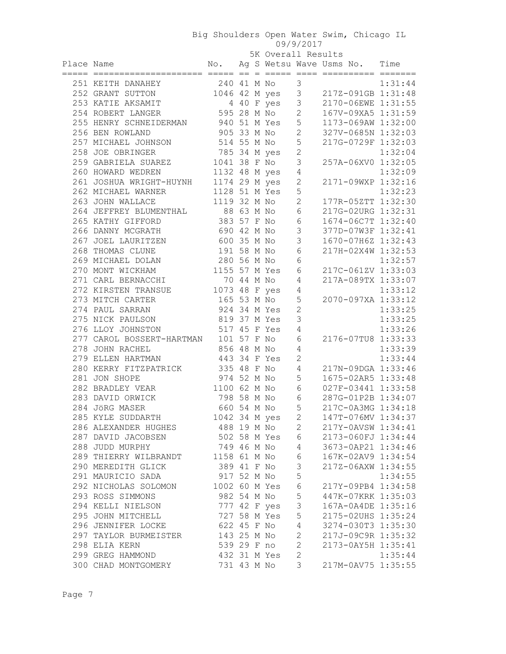|            | 0 <i>0 0 1 0 1 0 1 1</i> |  |  |  |
|------------|--------------------------|--|--|--|
| 72 - 11 P. |                          |  |  |  |

|            |                                       | 5K Overall Results |  |                |                 |                                                                                                       |         |
|------------|---------------------------------------|--------------------|--|----------------|-----------------|-------------------------------------------------------------------------------------------------------|---------|
| Place Name |                                       |                    |  |                |                 | No. Ag S Wetsu Wave Usms No. Time                                                                     |         |
|            |                                       |                    |  |                |                 |                                                                                                       |         |
|            | 251 KEITH DANAHEY                     |                    |  |                |                 | 240 41 M No<br>1.31:44<br>1046 42 M yes<br>3 217Z-091GB 1:31:48<br>4 40 F yes<br>3 2172-091GB 1:31:48 |         |
|            | 252 GRANT SUTTON                      |                    |  |                |                 |                                                                                                       |         |
|            | 253 KATIE AKSAMIT                     |                    |  | 4 40 F yes     |                 | 3 2170-06EWE 1:31:55                                                                                  |         |
|            | 254 ROBERT LANGER                     |                    |  | 595 28 M No    | $\mathbf{2}$    | 167V-09XA5 1:31:59                                                                                    |         |
|            | 255 HENRY SCHNEIDERMAN 940 51 M Yes 5 |                    |  |                |                 | 1173-069AW 1:32:00                                                                                    |         |
|            | 256 BEN ROWLAND                       |                    |  | 905 33 M No 2  |                 | 327V-0685N 1:32:03                                                                                    |         |
|            | 257 MICHAEL JOHNSON                   |                    |  | 514 55 M No 5  |                 | 217G-0729F 1:32:03                                                                                    |         |
|            | 258 JOE OBRINGER                      | 785 34 M yes       |  |                | $\mathbf{2}$    |                                                                                                       | 1:32:04 |
|            | 259 GABRIELA SUAREZ                   |                    |  | 1041 38 F No   | $\mathcal{S}$   | 257A-06XV0 1:32:05                                                                                    |         |
|            | 260 HOWARD WEDREN                     | 1132 48 M yes      |  |                | $\overline{4}$  |                                                                                                       | 1:32:09 |
|            | 261 JOSHUA WRIGHT-HUYNH 1174 29 M yes |                    |  |                | $\mathbf{2}$    | 2171-09WXP 1:32:16                                                                                    |         |
|            | 262 MICHAEL WARNER 1128 51 M Yes      |                    |  |                | 5               |                                                                                                       |         |
|            | 263 JOHN WALLACE                      |                    |  | 1119 32 M No   | $\mathbf{2}$    | 1:32:23<br>177R-05ZTT 1:32:30                                                                         |         |
|            | 264 JEFFREY BLUMENTHAL 88 63 M No     |                    |  |                | 6               | 217G-02URG 1:32:31                                                                                    |         |
|            | 265 KATHY GIFFORD                     |                    |  | 383 57 F No    | $\epsilon$      | 1674-06C7T 1:32:40                                                                                    |         |
|            | 266 DANNY MCGRATH                     | 690 42 M No        |  |                | $\mathcal{S}$   | 377D-07W3F 1:32:41                                                                                    |         |
|            | 267 JOEL LAURITZEN                    | 600 35 M No        |  |                | $\mathcal{S}$   | 1670-07H6Z 1:32:43                                                                                    |         |
|            | 268 THOMAS CLUNE                      | 191 58 M No        |  |                | $6\,$           | 217H-02X4W 1:32:53                                                                                    |         |
|            | 269 MICHAEL DOLAN                     | 280 56 M No        |  |                | 6               |                                                                                                       | 1:32:57 |
|            | 270 MONT WICKHAM                      |                    |  | 1155 57 M Yes  | $6\,$           | 217C-061ZV 1:33:03                                                                                    |         |
|            | 271 CARL BERNACCHI                    | 70 44 M No         |  |                | 4               | 217A-089TX 1:33:07                                                                                    |         |
|            | 272 KIRSTEN TRANSUE                   |                    |  | 1073 48 F yes  | $\overline{4}$  |                                                                                                       | 1:33:12 |
|            | 273 MITCH CARTER                      |                    |  | 165 53 M No    | $\mathsf S$     | 2070-097XA 1:33:12                                                                                    |         |
|            | 274 PAUL SARRAN                       |                    |  | 924 34 M Yes   | $\mathbf{2}$    |                                                                                                       | 1:33:25 |
|            | 275 NICK PAULSON                      |                    |  | 819 37 M Yes   | 3               |                                                                                                       | 1:33:25 |
|            | 276 LLOY JOHNSTON 517 45 F Yes        |                    |  |                | $\overline{4}$  |                                                                                                       | 1:33:26 |
|            | 277 CAROL BOSSERT-HARTMAN 101 57 F No |                    |  |                | $6\,$           | 2176-07TU8 1:33:33                                                                                    |         |
|            | 856 48 M No<br>278 JOHN RACHEL        |                    |  |                | 4               |                                                                                                       | 1:33:39 |
|            | 279 ELLEN HARTMAN                     | 443 34 F Yes       |  |                | $\overline{2}$  |                                                                                                       | 1:33:44 |
|            | 280 KERRY FITZPATRICK                 | 335 48 F No        |  |                | $\overline{4}$  | 217N-09DGA 1:33:46                                                                                    |         |
|            | 281 JON SHOPE                         |                    |  | 974 52 M No 5  |                 | 1675-02AR5 1:33:48                                                                                    |         |
|            | 282 BRADLEY VEAR                      |                    |  | 1100 62 M No 6 |                 | 027F-03441 1:33:58                                                                                    |         |
|            | 283 DAVID ORWICK                      |                    |  | 798 58 M No 6  |                 | 287G-01P2B 1:34:07                                                                                    |         |
|            | 284 JÖRG MASER                        |                    |  | 660 54 M No 5  |                 | 217C-0A3MG 1:34:18                                                                                    |         |
|            | 285 KYLE SUDDARTH                     |                    |  | 1042 34 M yes  | $\mathbf{2}$    | 147T-076MV 1:34:37                                                                                    |         |
|            | 286 ALEXANDER HUGHES                  |                    |  | 488 19 M No    | $\mathbf{2}$    | 217Y-0AVSW 1:34:41                                                                                    |         |
|            | 287 DAVID JACOBSEN                    |                    |  | 502 58 M Yes   | 6               | 2173-060FJ 1:34:44                                                                                    |         |
|            | 288 JUDD MURPHY                       |                    |  | 749 46 M No    | $4\overline{ }$ | 3673-0AP21 1:34:46                                                                                    |         |
|            | 289 THIERRY WILBRANDT                 |                    |  | 1158 61 M No   | 6               | 167K-02AV9 1:34:54                                                                                    |         |
|            | 290 MEREDITH GLICK                    | 389 41 F No        |  |                | $\mathfrak{Z}$  | 217Z-06AXW 1:34:55                                                                                    |         |
|            | 291 MAURICIO SADA                     | 917 52 M No        |  |                | 5               |                                                                                                       | 1:34:55 |
|            | 292 NICHOLAS SOLOMON                  |                    |  | 1002 60 M Yes  | $\epsilon$      | 217Y-09PB4 1:34:58                                                                                    |         |
|            | 293 ROSS SIMMONS                      | 982 54 M No        |  |                | $\mathsf S$     | 447K-07KRK 1:35:03                                                                                    |         |
|            | 294 KELLI NIELSON                     | 777 42 F yes       |  |                | $\mathsf 3$     | 167A-0A4DE 1:35:16                                                                                    |         |
|            | 295 JOHN MITCHELL                     | 727 58 M Yes       |  |                | 5               | 2175-02UHS 1:35:24                                                                                    |         |
|            | 296 JENNIFER LOCKE                    | 622 45 F No        |  |                | $\overline{4}$  | 3274-030T3 1:35:30                                                                                    |         |
|            | 297 TAYLOR BURMEISTER                 | 143 25 M No        |  |                | $\mathbf{2}$    | 217J-09C9R 1:35:32                                                                                    |         |
|            | 298 ELIA KERN                         |                    |  | 539 29 F no    | $\mathbf{2}$    | 2173-0AY5H 1:35:41                                                                                    |         |
|            | 299 GREG HAMMOND                      |                    |  | 432 31 M Yes   | $\mathbf{2}$    |                                                                                                       | 1:35:44 |
|            | 300 CHAD MONTGOMERY                   |                    |  | 731 43 M No    | 3               | 217M-0AV75 1:35:55                                                                                    |         |
|            |                                       |                    |  |                |                 |                                                                                                       |         |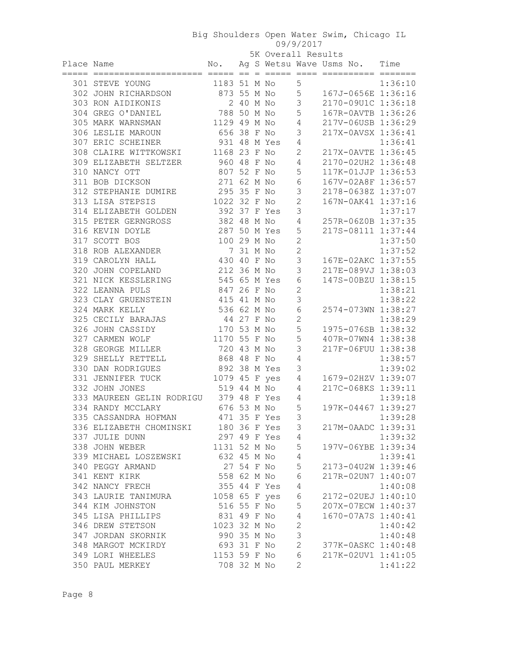| <u> こし/ こしエ/</u> |  |  |  |
|------------------|--|--|--|
| $V \sim 0.5$     |  |  |  |

|            |                                        |               |           | 5K Overall Results      |                |                               |         |
|------------|----------------------------------------|---------------|-----------|-------------------------|----------------|-------------------------------|---------|
| Place Name |                                        | No.           |           |                         |                | Ag S Wetsu Wave Usms No. Time |         |
|            | ===== ====================== ===== ==  |               |           | $=$ $=$ $=$ $=$ $=$ $=$ |                |                               |         |
|            | 301 STEVE YOUNG                        | 1183 51 M No  |           |                         | 5              |                               | 1:36:10 |
|            | 302 JOHN RICHARDSON                    | 873 55 M No   |           |                         | 5              | 167J-0656E 1:36:16            |         |
|            | 303 RON AIDIKONIS                      |               | 2 40 M No |                         | 3              | 2170-09U1C 1:36:18            |         |
|            | 304 GREG O'DANIEL                      | 788 50 M No   |           |                         | 5              | 167R-0AVTB 1:36:26            |         |
|            | 305 MARK WARNSMAN                      | 1129 49 M No  |           |                         | 4              | 217V-06USB 1:36:29            |         |
|            | 306 LESLIE MAROUN                      | 656 38 F No   |           |                         | 3              | 217X-0AVSX 1:36:41            |         |
|            | 307 ERIC SCHEINER                      | 931 48 M Yes  |           |                         | 4              |                               | 1:36:41 |
|            | 308 CLAIRE WITTKOWSKI                  | 1168 23 F No  |           |                         | 2              | 217X-0AVTE 1:36:45            |         |
|            | 309 ELIZABETH SELTZER                  | 960 48 F No   |           |                         | 4              | 2170-02UH2 1:36:48            |         |
|            | 310 NANCY OTT                          | 807 52 F No   |           |                         | 5              | 117K-01JJP 1:36:53            |         |
|            | 311 BOB DICKSON                        | 271 62 M No   |           |                         | 6              | 167V-02A8F 1:36:57            |         |
|            | 312 STEPHANIE DUMIRE                   | 295 35 F No   |           |                         | 3              | 2178-0638Z 1:37:07            |         |
|            | 313 LISA STEPSIS                       | 1022 32 F No  |           |                         | $\mathbf{2}$   | 167N-0AK41 1:37:16            |         |
|            | 314 ELIZABETH GOLDEN                   | 392 37 F Yes  |           |                         | 3              |                               | 1:37:17 |
|            | 315 PETER GERNGROSS                    | 382 48 M No   |           |                         | 4              | 257R-06Z0B 1:37:35            |         |
|            | 316 KEVIN DOYLE                        | 287 50 M Yes  |           |                         | 5              | 217S-08111 1:37:44            |         |
|            | 317 SCOTT BOS                          | 100 29 M No   |           |                         | $\overline{c}$ |                               | 1:37:50 |
|            | 318 ROB ALEXANDER                      |               | 7 31 M No |                         | $\overline{c}$ |                               | 1:37:52 |
|            | 319 CAROLYN HALL                       | 430 40 F No   |           |                         | 3              | 167E-02AKC 1:37:55            |         |
|            | 320 JOHN COPELAND                      | 212 36 M No   |           |                         | 3              | 217E-089VJ 1:38:03            |         |
|            | 321 NICK KESSLERING                    | 545 65 M Yes  |           |                         | 6              | 147S-00BZU 1:38:15            |         |
|            | 322 LEANNA PULS                        | 847 26 F No   |           |                         | $\overline{c}$ |                               | 1:38:21 |
|            | 323 CLAY GRUENSTEIN                    | 415 41 M No   |           |                         | 3              |                               | 1:38:22 |
|            | 324 MARK KELLY                         | 536 62 M No   |           |                         | $\epsilon$     | 2574-073WN 1:38:27            |         |
|            | 325 CECILY BARAJAS                     | 44 27 F No    |           |                         | $\mathbf{2}$   |                               | 1:38:29 |
|            | 326 JOHN CASSIDY                       | 170 53 M No   |           |                         | 5              | 1975-076SB 1:38:32            |         |
|            | 327 CARMEN WOLF                        | 1170 55 F No  |           |                         | 5              | 407R-07WN4 1:38:38            |         |
|            | 328 GEORGE MILLER                      | 720 43 M No   |           |                         | 3              | 217F-06FUU 1:38:38            |         |
|            | 329 SHELLY RETTELL                     | 868 48 F No   |           |                         | 4              |                               | 1:38:57 |
|            | 330 DAN RODRIGUES                      | 892 38 M Yes  |           |                         | 3              |                               | 1:39:02 |
|            | 331 JENNIFER TUCK                      | 1079 45 F yes |           |                         | 4              | 1679-02HZV 1:39:07            |         |
|            | 332 JOHN JONES                         | 519 44 M No   |           |                         | 4              | 217C-068KS 1:39:11            |         |
|            | 333 MAUREEN GELIN RODRIGU 379 48 F Yes |               |           |                         | 4              |                               | 1:39:18 |
|            | 334 RANDY MCCLARY                      | 676 53 M No   |           |                         | 5              | 197K-04467 1:39:27            |         |
|            | 335 CASSANDRA HOFMAN                   | 471 35 F Yes  |           |                         | 3              |                               | 1:39:28 |
|            | 336 ELIZABETH CHOMINSKI 180 36 F Yes   |               |           |                         | 3              | 217M-0AADC 1:39:31            |         |
|            | 337 JULIE DUNN                         |               |           | 297 49 F Yes            | 4              |                               | 1:39:32 |
|            | 338 JOHN WEBER                         | 1131 52 M No  |           |                         | $\mathsf S$    | 197V-06YBE 1:39:34            |         |
|            | 339 MICHAEL LOSZEWSKI                  | 632 45 M No   |           |                         | $\sqrt{4}$     |                               | 1:39:41 |
|            | 340 PEGGY ARMAND                       | 27 54 F No    |           |                         | 5              | 2173-04U2W 1:39:46            |         |
|            | 341 KENT KIRK                          | 558 62 M No   |           |                         | 6              | 217R-02UN7 1:40:07            |         |
|            | 342 NANCY FRECH                        | 355 44 F Yes  |           |                         | $\sqrt{4}$     |                               | 1:40:08 |
|            | 343 LAURIE TANIMURA                    | 1058 65 F yes |           |                         | $\epsilon$     | 2172-02UEJ 1:40:10            |         |
|            | 344 KIM JOHNSTON                       | 516 55 F No   |           |                         | 5              | 207X-07ECW 1:40:37            |         |
|            | 345 LISA PHILLIPS                      | 831 49 F No   |           |                         | $\sqrt{4}$     | 1670-07A7S 1:40:41            |         |
|            | 346 DREW STETSON                       | 1023 32 M No  |           |                         | $\mathbf{2}$   |                               | 1:40:42 |
|            | 347 JORDAN SKORNIK                     | 990 35 M No   |           |                         | 3              |                               | 1:40:48 |
|            | 348 MARGOT MCKIRDY                     | 693 31 F No   |           |                         | $\overline{c}$ | 377K-0ASKC 1:40:48            |         |
|            | 349 LORI WHEELES                       | 1153 59 F No  |           |                         | $\epsilon$     | 217K-02UV1 1:41:05            |         |
|            | 350 PAUL MERKEY                        | 708 32 M No   |           |                         | 2              |                               | 1:41:22 |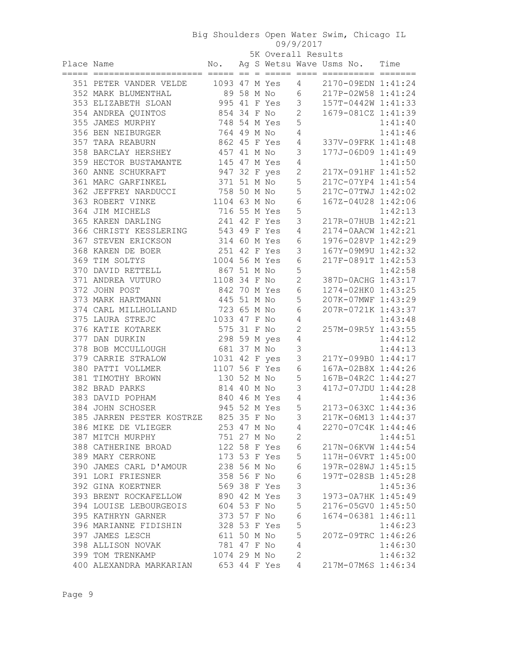| 5K Overall Results |  |
|--------------------|--|

|            |                                        |                             |  | 5K Overall Results |                |                                                                     |         |
|------------|----------------------------------------|-----------------------------|--|--------------------|----------------|---------------------------------------------------------------------|---------|
| Place Name | ===== ====================== ===== ==  | No.                         |  |                    |                | Ag S Wetsu Wave Usms No. Time<br>$=$ ===== ==== =========== ======= |         |
|            | 351 PETER VANDER VELDE 1093 47 M Yes 4 |                             |  |                    |                | 2170-09EDN 1:41:24                                                  |         |
|            | 352 MARK BLUMENTHAL                    |                             |  | 89 58 M No 6       |                | 217P-02W58 1:41:24                                                  |         |
|            | 353 ELIZABETH SLOAN                    | 995 41 F Yes                |  |                    | 3              | 157T-0442W 1:41:33                                                  |         |
|            | 354 ANDREA QUINTOS                     | 854 34 F No                 |  |                    | 2              | 1679-081CZ 1:41:39                                                  |         |
|            | 355 JAMES MURPHY                       |                             |  | 748 54 M Yes       | 5              |                                                                     | 1:41:40 |
|            | 356 BEN NEIBURGER                      | 764 49 M No                 |  |                    | 4              |                                                                     | 1:41:46 |
|            | 357 TARA REABURN                       |                             |  | 862 45 F Yes       | $\overline{4}$ | 337V-09FRK 1:41:48                                                  |         |
|            | 358 BARCLAY HERSHEY                    | 457 41 M No                 |  |                    | 3              | 177J-06D09 1:41:49                                                  |         |
|            | 359 HECTOR BUSTAMANTE                  | 145 47 M Yes                |  |                    | 4              |                                                                     | 1:41:50 |
|            | 360 ANNE SCHUKRAFT                     | 947 32 F yes                |  |                    | $\mathbf{2}$   | 217X-091HF 1:41:52                                                  |         |
|            | 361 MARC GARFINKEL                     | 371 51 M No                 |  |                    | 5              | 217C-07YP4 1:41:54                                                  |         |
|            | 362 JEFFREY NARDUCCI                   | 758 50 M No                 |  |                    | 5              | 217C-07TWJ 1:42:02                                                  |         |
|            | 363 ROBERT VINKE                       | 1104 63 M No                |  |                    | $\epsilon$     | 167Z-04U28 1:42:06                                                  |         |
|            | 364 JIM MICHELS                        | 716 55 M Yes                |  |                    | 5              |                                                                     | 1:42:13 |
|            | 365 KAREN DARLING                      | 241 42 F Yes                |  |                    | 3              | 217R-07HUB 1:42:21                                                  |         |
|            | 366 CHRISTY KESSLERING                 | 543 49 F Yes                |  |                    | 4              | 2174-0AACW 1:42:21                                                  |         |
|            | 367 STEVEN ERICKSON                    | 314 60 M Yes                |  |                    | $\epsilon$     | 1976-028VP 1:42:29                                                  |         |
|            | 368 KAREN DE BOER                      | 251 42 F Yes                |  |                    | 3              | 167Y-09M9U 1:42:32                                                  |         |
|            | 369 TIM SOLTYS                         | 1004 56 M Yes               |  |                    | 6              | 217F-0891T 1:42:53                                                  |         |
|            | 370 DAVID RETTELL                      | 867 51 M No                 |  |                    | 5              |                                                                     | 1:42:58 |
|            | 371 ANDREA VUTURO                      | 1108 34 F No                |  |                    | $\overline{c}$ | 387D-0ACHG 1:43:17                                                  |         |
|            | 372 JOHN POST                          | 842 70 M Yes                |  |                    | $\epsilon$     | 1274-02HK0 1:43:25                                                  |         |
|            | 373 MARK HARTMANN                      | 445 51 M No                 |  |                    | 5              | 207K-07MWF 1:43:29                                                  |         |
|            | 374 CARL MILLHOLLAND                   | 723 65 M No                 |  |                    | 6              | 207R-0721K 1:43:37                                                  |         |
|            | 375 LAURA STREJC                       | 1033 47 F No                |  |                    | $\overline{4}$ |                                                                     | 1:43:48 |
|            | 376 KATIE KOTAREK                      | 575 31 F No                 |  |                    | $\mathbf{2}$   | 257M-09R5Y 1:43:55                                                  |         |
|            | 377 DAN DURKIN                         | 298 59 M yes                |  |                    | 4              |                                                                     | 1:44:12 |
|            | 378 BOB MCCULLOUGH                     | 681 37 M No                 |  |                    | $\mathsf 3$    |                                                                     | 1:44:13 |
|            | 379 CARRIE STRALOW                     | 1031 42 F yes               |  |                    | 3              | 217Y-099B0 1:44:17                                                  |         |
|            | 380 PATTI VOLLMER                      | 1107 56 F Yes               |  |                    | $\epsilon$     | 167A-02B8X 1:44:26                                                  |         |
|            | 381 TIMOTHY BROWN                      | 130 52 M No                 |  |                    | 5              | 167B-04R2C 1:44:27                                                  |         |
|            | 382 BRAD PARKS                         | 814 40 M No                 |  |                    | $\mathcal{S}$  | 417J-07JDU 1:44:28                                                  |         |
|            | 383 DAVID POPHAM                       | 840 46 M Yes                |  |                    | $\overline{4}$ |                                                                     | 1:44:36 |
|            | 384 JOHN SCHOSER                       |                             |  | 945 52 M Yes 5     |                | 2173-063XC 1:44:36                                                  |         |
|            | 385 JARREN PESTER KOSTRZE              | 825 35 F No                 |  |                    | 3              | 217K-06M13 1:44:37                                                  |         |
|            | 386 MIKE DE VLIEGER                    | 253 47 M No                 |  |                    | 4              | 2270-07C4K 1:44:46                                                  |         |
|            | 387 MITCH MURPHY                       |                             |  | 751 27 M No        | 2              |                                                                     | 1:44:51 |
|            | 388 CATHERINE BROAD                    |                             |  | 122 58 F Yes       | 6              | 217N-06KVW 1:44:54                                                  |         |
|            | 389 MARY CERRONE                       |                             |  | 173 53 F Yes       | 5              | 117H-06VRT 1:45:00                                                  |         |
|            | 390 JAMES CARL D'AMOUR                 | 238 56 M No                 |  |                    | 6              | 197R-028WJ 1:45:15                                                  |         |
|            | 391 LORI FRIESNER                      | 358 56 F No                 |  |                    | $\epsilon$     | 197T-028SB 1:45:28                                                  |         |
|            | 392 GINA KOERTNER                      | 569 38 F Yes                |  |                    | $\mathsf 3$    |                                                                     | 1:45:36 |
|            |                                        |                             |  |                    | $\mathfrak{Z}$ |                                                                     |         |
|            | 393 BRENT ROCKAFELLOW                  | 890 42 M Yes<br>604 53 F No |  |                    | 5              | 1973-0A7HK 1:45:49                                                  |         |
|            | 394 LOUISE LEBOURGEOIS                 |                             |  |                    |                | 2176-05GV0 1:45:50                                                  |         |
|            | 395 KATHRYN GARNER                     | 373 57 F No                 |  |                    | $\epsilon$     | 1674-06381 1:46:11                                                  |         |
|            | 396 MARIANNE FIDISHIN                  | 328 53 F Yes                |  |                    | 5<br>5         |                                                                     | 1:46:23 |
|            | 397 JAMES LESCH                        | 611 50 M No                 |  |                    | $\sqrt{4}$     | 207Z-09TRC 1:46:26                                                  |         |
|            | 398 ALLISON NOVAK                      | 781 47 F No                 |  |                    | $\mathbf{2}$   |                                                                     | 1:46:30 |
|            | 399 TOM TRENKAMP                       | 1074 29 M No                |  |                    | 4              |                                                                     | 1:46:32 |
|            | 400 ALEXANDRA MARKARIAN 653 44 F Yes   |                             |  |                    |                | 217M-07M6S 1:46:34                                                  |         |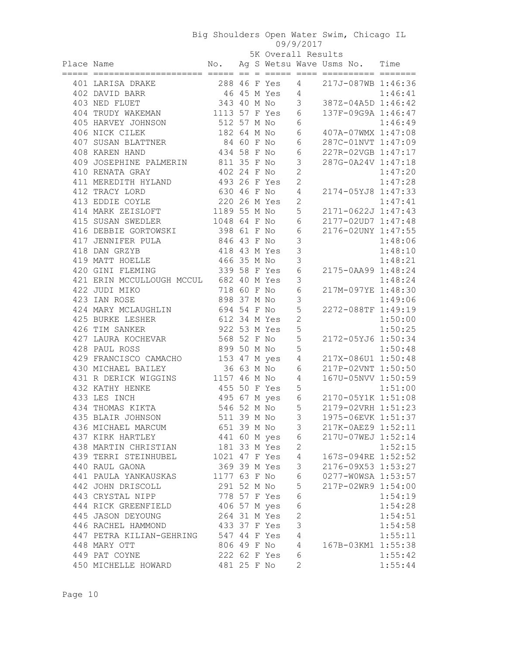|  | 5K Overall Results |
|--|--------------------|
|  |                    |

|            |                                        |                |  | 5K Overall Results |                 |                                   |         |
|------------|----------------------------------------|----------------|--|--------------------|-----------------|-----------------------------------|---------|
| Place Name |                                        |                |  |                    |                 | No. Ag S Wetsu Wave Usms No. Time |         |
|            | 401 LARISA DRAKE                       | 288 46 F Yes 4 |  |                    |                 | 217J-087WB 1:46:36                |         |
|            | 402 DAVID BARR                         | 46 45 M Yes    |  |                    | $4\overline{ }$ |                                   | 1:46:41 |
|            | 403 NED FLUET                          | 343 40 M No    |  |                    | $\mathcal{S}$   | 387Z-04A5D 1:46:42                |         |
|            | 404 TRUDY WAKEMAN                      | 1113 57 F Yes  |  |                    | 6               | 137F-09G9A 1:46:47                |         |
|            | 405 HARVEY JOHNSON                     | 512 57 M No    |  |                    | 6               |                                   | 1:46:49 |
|            | 406 NICK CILEK                         | 182 64 M No    |  |                    | 6               | 407A-07WMX 1:47:08                |         |
|            | 407 SUSAN BLATTNER                     | 84 60 F No     |  |                    | 6               | 287C-01NVT 1:47:09                |         |
|            | 408 KAREN HAND                         | 434 58 F No    |  |                    | $\sqrt{6}$      | 227R-02VGB 1:47:17                |         |
|            | 409 JOSEPHINE PALMERIN 811 35 F No     |                |  |                    | $\mathcal{S}$   | 287G-0A24V 1:47:18                |         |
|            | 410 RENATA GRAY                        | 402 24 F No    |  |                    | $\overline{c}$  |                                   | 1:47:20 |
|            | 411 MEREDITH HYLAND                    | 493 26 F Yes   |  |                    | $\overline{c}$  |                                   | 1:47:28 |
|            | 412 TRACY LORD                         | 630 46 F No    |  |                    | 4               | 2174-05YJ8 1:47:33                |         |
|            | 413 EDDIE COYLE                        | 220 26 M Yes   |  |                    | 2               |                                   | 1:47:41 |
|            | 414 MARK ZEISLOFT                      | 1189 55 M No   |  |                    | 5               | 2171-0622J 1:47:43                |         |
|            | 415 SUSAN SWEDLER                      | 1048 64 F No   |  |                    | 6               | 2177-02UD7 1:47:48                |         |
|            | 416 DEBBIE GORTOWSKI                   | 398 61 F No    |  |                    | $\sqrt{6}$      | 2176-02UNY 1:47:55                |         |
|            | 417 JENNIFER PULA                      | 846 43 F No    |  |                    | $\mathfrak{Z}$  |                                   | 1:48:06 |
|            | 418 DAN GRZYB                          | 418 43 M Yes   |  |                    | 3               |                                   | 1:48:10 |
|            | 419 MATT HOELLE                        | 466 35 M No    |  |                    | 3               |                                   | 1:48:21 |
|            | 339 58 F Yes<br>420 GINI FLEMING       |                |  |                    | $\sqrt{6}$      | 2175-0AA99 1:48:24                |         |
|            | 421 ERIN MCCULLOUGH MCCUL 682 40 M Yes |                |  |                    | 3               |                                   | 1:48:24 |
|            | 422 JUDI MIKO                          | 718 60 F No    |  |                    | $\sqrt{6}$      | 217M-097YE 1:48:30                |         |
|            | 423 IAN ROSE                           | 898 37 M No    |  |                    | $\mathsf 3$     |                                   | 1:49:06 |
|            | 424 MARY MCLAUGHLIN                    | 694 54 F No    |  |                    | 5               | 2272-088TF 1:49:19                |         |
|            | 425 BURKE LESHER                       | 612 34 M Yes   |  |                    | $\overline{c}$  |                                   | 1:50:00 |
|            | 426 TIM SANKER                         | 922 53 M Yes   |  |                    | 5               |                                   | 1:50:25 |
|            | 427 LAURA KOCHEVAR                     | 568 52 F No    |  |                    | 5               | 2172-05YJ6 1:50:34                |         |
|            | 428 PAUL ROSS                          | 899 50 M No    |  |                    | 5               |                                   | 1:50:48 |
|            | 429 FRANCISCO CAMACHO 153 47 M yes 4   |                |  |                    |                 | 217X-086U1 1:50:48                |         |
|            | 430 MICHAEL BAILEY                     | 36 63 M No     |  |                    | 6               | 217P-02VNT 1:50:50                |         |
|            | 431 R DERICK WIGGINS 1157 46 M No 4    |                |  |                    |                 | 167U-05NVV 1:50:59                |         |
|            | 432 KATHY HENKE                        | 455 50 F Yes   |  |                    | 5               |                                   | 1:51:00 |
|            | 433 LES INCH                           |                |  | 495 67 M yes       | 6               | 2170-05Y1K 1:51:08                |         |
|            | 434 THOMAS KIKTA                       |                |  | 546 52 M No 5      |                 | 2179-02VRH 1:51:23                |         |
|            | 435 BLAIR JOHNSON                      | 511 39 M No    |  |                    | 3               | 1975-06EVK 1:51:37                |         |
|            | 436 MICHAEL MARCUM                     |                |  | 651 39 M No        | 3               | 217K-0AEZ9 1:52:11                |         |
|            | 437 KIRK HARTLEY                       |                |  | 441 60 M yes 6     |                 | 217U-07WEJ 1:52:14                |         |
|            | 438 MARTIN CHRISTIAN                   |                |  | 181 33 M Yes       | $\mathbf{2}$    |                                   | 1:52:15 |
|            | 439 TERRI STEINHUBEL                   |                |  | 1021 47 F Yes      | $\overline{4}$  | 167S-094RE 1:52:52                |         |
|            | 440 RAUL GAONA                         |                |  | 369 39 M Yes       | $\mathcal{S}$   | 2176-09X53 1:53:27                |         |
|            | 441 PAULA YANKAUSKAS                   | 1177 63 F No   |  |                    | $\epsilon$      | 0277-W0WSA 1:53:57                |         |
|            | 442 JOHN DRISCOLL                      |                |  | 291 52 M No        | 5               | 217P-02WR9 1:54:00                |         |
|            | 443 CRYSTAL NIPP                       | 778 57 F Yes   |  |                    | $\epsilon$      |                                   | 1:54:19 |
|            | 444 RICK GREENFIELD                    |                |  | 406 57 M yes       | $\sqrt{6}$      |                                   | 1:54:28 |
|            | 445 JASON DEYOUNG                      |                |  | 264 31 M Yes       | $\overline{c}$  |                                   | 1:54:51 |
|            | 446 RACHEL HAMMOND                     |                |  | 433 37 F Yes       | 3               |                                   | 1:54:58 |
|            | 447 PETRA KILIAN-GEHRING               |                |  | 547 44 F Yes       | $\sqrt{4}$      |                                   | 1:55:11 |
|            | 448 MARY OTT                           |                |  | 806 49 F No        | $\overline{4}$  | 167B-03KM1 1:55:38                |         |
|            | 449 PAT COYNE                          |                |  | 222 62 F Yes       | $\sqrt{6}$      |                                   | 1:55:42 |
|            | 450 MICHELLE HOWARD                    | 481 25 F No    |  |                    | 2               |                                   | 1:55:44 |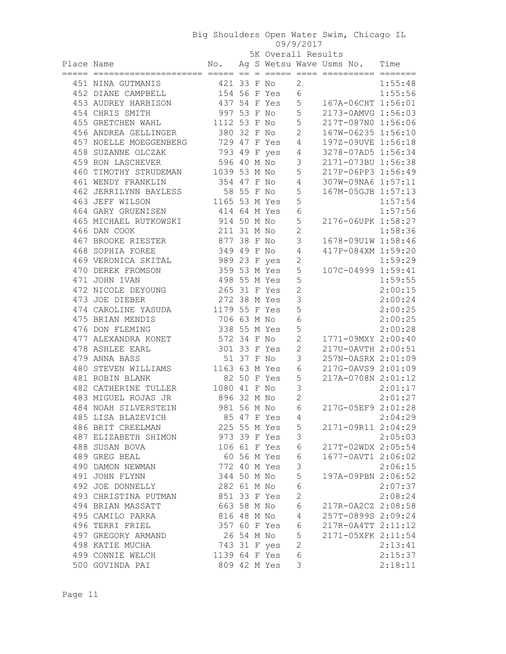|            |                                           |               |            |              | 5K Overall Results |                                                                     |         |  |  |
|------------|-------------------------------------------|---------------|------------|--------------|--------------------|---------------------------------------------------------------------|---------|--|--|
| Place Name | ===== ===================== ===== ==      | No.           |            |              |                    | Ag S Wetsu Wave Usms No. Time<br>$=$ ===== ==== =========== ======= |         |  |  |
|            |                                           | 421 33 F No   |            |              | $\mathbf{2}$       |                                                                     | 1:55:48 |  |  |
|            | 451 NINA GUTMANIS<br>452 DIANE CAMPBELL   | 154 56 F Yes  |            |              | 6                  |                                                                     | 1:55:56 |  |  |
|            | 453 AUDREY HARBISON                       | 437 54 F Yes  |            |              | 5                  | 167A-06CHT 1:56:01                                                  |         |  |  |
|            |                                           | 997 53 F No   |            |              | 5                  | 2173-0AMVG 1:56:03                                                  |         |  |  |
|            | 454 CHRIS SMITH                           | 1112 53 F No  |            |              | 5                  | 217T-087N0 1:56:06                                                  |         |  |  |
|            | 455 GRETCHEN WAHL<br>456 ANDREA GELLINGER | 380 32 F No   |            |              | $\mathbf{2}$       | 167W-06235 1:56:10                                                  |         |  |  |
|            |                                           |               |            |              |                    | 197Z-09UVE 1:56:18                                                  |         |  |  |
|            | 457 NOELLE MOEGGENBERG                    | 729 47 F Yes  |            |              | 4                  |                                                                     |         |  |  |
|            | 458 SUZANNE OLCZAK                        | 793 49 F yes  |            |              | 4                  | 3278-07AD5 1:56:34                                                  |         |  |  |
|            | 459 RON LASCHEVER                         | 596 40 M No   |            |              | 3                  | 2171-073BU 1:56:38                                                  |         |  |  |
|            | 460 TIMOTHY STRUDEMAN 1039 53 M No        |               |            |              | $\mathsf S$        | 217P-06PP3 1:56:49                                                  |         |  |  |
|            | 461 WENDY FRANKLIN                        | 354 47 F No   |            |              | 4                  | 307W-09NA6 1:57:11                                                  |         |  |  |
|            | 462 JERRILYNN BAYLESS                     | 58 55 F No    |            |              | $\mathsf S$        | 167M-05GJB 1:57:13                                                  |         |  |  |
|            | 463 JEFF WILSON                           | 1165 53 M Yes |            |              | $\mathsf S$        |                                                                     | 1:57:54 |  |  |
|            | 464 GARY GRUENISEN                        | 414 64 M Yes  |            |              | 6                  |                                                                     | 1:57:56 |  |  |
|            | 465 MICHAEL RUTKOWSKI                     | 914 50 M No   |            |              | 5                  | 2176-06UPK 1:58:27                                                  |         |  |  |
|            | 466 DAN COOK                              | 211 31 M No   |            |              | $\overline{c}$     |                                                                     | 1:58:36 |  |  |
|            | 467 BROOKE RIESTER                        | 877 38 F No   |            |              | 3                  | 1678-09U1W 1:58:46                                                  |         |  |  |
|            | 468 SOPHIA FOREE                          | 349 49 F No   |            |              | 4                  | 417P-084XM 1:59:20                                                  |         |  |  |
|            | 469 VERONICA SKITAL                       | 989 23 F yes  |            |              | $\mathbf 2$        |                                                                     | 1:59:29 |  |  |
|            | 470 DEREK FROMSON                         | 359 53 M Yes  |            |              | 5                  | 107C-04999 1:59:41                                                  |         |  |  |
|            | 471 JOHN IVAN                             | 498 55 M Yes  |            |              | 5                  |                                                                     | 1:59:55 |  |  |
|            | 472 NICOLE DEYOUNG                        | 265 31 F Yes  |            |              | $\overline{c}$     |                                                                     | 2:00:15 |  |  |
|            | 473 JOE DIEBER                            | 272 38 M Yes  |            |              | $\mathsf 3$        |                                                                     | 2:00:24 |  |  |
|            | 474 CAROLINE YASUDA                       | 1179 55 F Yes |            |              | 5                  |                                                                     | 2:00:25 |  |  |
|            | 475 BRIAN MENDIS                          | 706 63 M No   |            |              | $\epsilon$         |                                                                     | 2:00:25 |  |  |
|            | 476 DON FLEMING                           | 338 55 M Yes  |            |              | 5                  |                                                                     | 2:00:28 |  |  |
|            | 477 ALEXANDRA KONET                       | 572 34 F No   |            |              | $\mathbf{2}$       | 1771-09MXY 2:00:40                                                  |         |  |  |
|            | 478 ASHLEE EARL                           | 301 33 F Yes  |            |              | $\mathbf{2}$       | 217U-0AVTH 2:00:51                                                  |         |  |  |
|            | 479 ANNA BASS                             |               | 51 37 F No |              | 3                  | 257N-0ASRX 2:01:09                                                  |         |  |  |
|            | 480 STEVEN WILLIAMS 1163 63 M Yes         |               |            |              | 6                  | 217G-0AVS9 2:01:09                                                  |         |  |  |
|            | 481 ROBIN BLANK                           |               |            | 82 50 F Yes  | 5                  | 217A-0708N 2:01:12                                                  |         |  |  |
|            | 482 CATHERINE TULLER                      | 1080 41 F No  |            |              | 3                  |                                                                     | 2:01:17 |  |  |
|            | 483 MIGUEL ROJAS JR                       | 896 32 M No   |            |              | $\overline{c}$     |                                                                     | 2:01:27 |  |  |
|            | 484 NOAH SILVERSTEIN                      | 981 56 M No   |            |              | 6                  | 217G-05EF9 2:01:28                                                  |         |  |  |
|            | 485 LISA BLAZEVICH                        |               |            | 85 47 F Yes  | 4                  |                                                                     | 2:04:29 |  |  |
|            | 486 BRIT CREELMAN                         |               |            | 225 55 M Yes | 5                  | 2171-09R11 2:04:29                                                  |         |  |  |
|            | 487 ELIZABETH SHIMON                      |               |            | 973 39 F Yes | $\mathcal{S}$      |                                                                     | 2:05:03 |  |  |
|            | 488 SUSAN BOVA                            |               |            | 106 61 F Yes | 6                  | 217T-02WDX 2:05:54                                                  |         |  |  |
|            | 489 GREG BEAL                             |               |            | 60 56 M Yes  | $\sqrt{6}$         | 1677-0AVT1 2:06:02                                                  |         |  |  |
|            | 490 DAMON NEWMAN                          |               |            | 772 40 M Yes | $\mathsf 3$        |                                                                     | 2:06:15 |  |  |
|            | 491 JOHN FLYNN                            | 344 50 M No   |            |              | $\mathsf S$        | 197A-09PBN 2:06:52                                                  |         |  |  |
|            | 492 JOE DONNELLY                          | 282 61 M No   |            |              | $\epsilon$         |                                                                     | 2:07:37 |  |  |
|            | 493 CHRISTINA PUTMAN                      | 851 33 F Yes  |            |              | $\overline{c}$     |                                                                     | 2:08:24 |  |  |
|            | 494 BRIAN MASSATT                         | 663 58 M No   |            |              | $\sqrt{6}$         | 217R-0A2CZ 2:08:58                                                  |         |  |  |
|            | 495 CAMILO PARRA                          | 816 48 M No   |            |              | $\overline{4}$     | 257T-0899S 2:09:24                                                  |         |  |  |
|            | 496 TERRI FRIEL                           |               |            | 357 60 F Yes | 6                  | 217R-0A4TT 2:11:12                                                  |         |  |  |
|            | 497 GREGORY ARMAND                        |               |            | 26 54 M No   | 5                  | 2171-05XFK 2:11:54                                                  |         |  |  |
|            | 498 KATIE MUCHA                           | 743 31 F yes  |            |              | $\overline{c}$     |                                                                     | 2:13:41 |  |  |
|            | 499 CONNIE WELCH                          | 1139 64 F Yes |            |              | 6                  |                                                                     | 2:15:37 |  |  |
|            | 500 GOVINDA PAI                           |               |            | 809 42 M Yes | 3                  |                                                                     | 2:18:11 |  |  |
|            |                                           |               |            |              |                    |                                                                     |         |  |  |